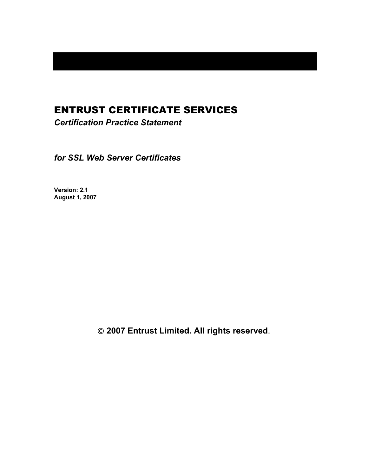# ENTRUST CERTIFICATE SERVICES

*Certification Practice Statement* 

*for SSL Web Server Certificates* 

**Version: 2.1 August 1, 2007** 

 **2007 Entrust Limited. All rights reserved**.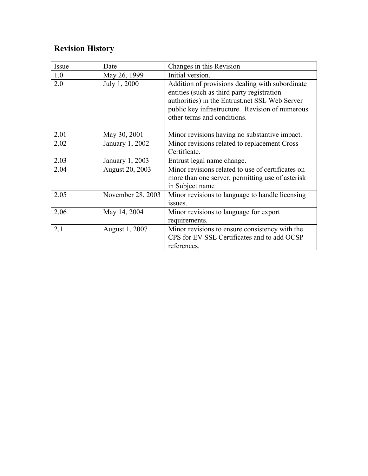# **Revision History**

| Issue | Date                   | Changes in this Revision                                                                                                                                                                                                          |
|-------|------------------------|-----------------------------------------------------------------------------------------------------------------------------------------------------------------------------------------------------------------------------------|
| 1.0   | May 26, 1999           | Initial version.                                                                                                                                                                                                                  |
| 2.0   | July 1, 2000           | Addition of provisions dealing with subordinate<br>entities (such as third party registration<br>authorities) in the Entrust.net SSL Web Server<br>public key infrastructure. Revision of numerous<br>other terms and conditions. |
| 2.01  | May 30, 2001           | Minor revisions having no substantive impact.                                                                                                                                                                                     |
| 2.02  | January 1, 2002        | Minor revisions related to replacement Cross<br>Certificate.                                                                                                                                                                      |
| 2.03  | January 1, 2003        | Entrust legal name change.                                                                                                                                                                                                        |
| 2.04  | <b>August 20, 2003</b> | Minor revisions related to use of certificates on<br>more than one server; permitting use of asterisk<br>in Subject name                                                                                                          |
| 2.05  | November 28, 2003      | Minor revisions to language to handle licensing<br>issues.                                                                                                                                                                        |
| 2.06  | May 14, 2004           | Minor revisions to language for export<br>requirements.                                                                                                                                                                           |
| 2.1   | August 1, 2007         | Minor revisions to ensure consistency with the<br>CPS for EV SSL Certificates and to add OCSP<br>references.                                                                                                                      |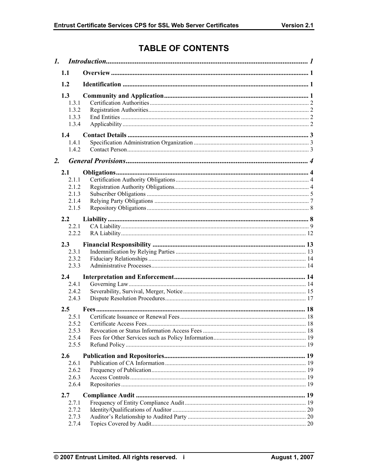# **TABLE OF CONTENTS**

|                  | $\mathbf{1}$ .                                   |  |  |
|------------------|--------------------------------------------------|--|--|
|                  | 1.1                                              |  |  |
|                  | 1.2                                              |  |  |
|                  | 1.3<br>1.3.1<br>1.3.2<br>1.3.3<br>1.3.4          |  |  |
|                  | 1.4<br>1.4.1<br>1.4.2                            |  |  |
| $\overline{2}$ . |                                                  |  |  |
|                  | 2.1<br>2.1.1<br>2.1.2<br>2.1.3<br>2.1.4<br>2.1.5 |  |  |
|                  | 2.2                                              |  |  |
|                  | 2.2.1                                            |  |  |
|                  | 2.2.2                                            |  |  |
|                  | 2.3<br>2.3.1<br>2.3.2<br>2.3.3                   |  |  |
|                  | 2.4                                              |  |  |
|                  | 2.4.1<br>242<br>2.4.3                            |  |  |
|                  | $2.5^{\circ}$                                    |  |  |
|                  | 2.5.1<br>2.5.2                                   |  |  |
|                  | 2.5.3                                            |  |  |
|                  | 2.5.4<br>2.5.5                                   |  |  |
|                  | 2.6                                              |  |  |
|                  | 2.6.1<br>2.6.2                                   |  |  |
|                  | 2.6.3                                            |  |  |
|                  | 2.6.4                                            |  |  |
|                  | 2.7                                              |  |  |
|                  | 2.7.1                                            |  |  |
|                  | 2.7.2<br>2.7.3                                   |  |  |
|                  | 2.7.4                                            |  |  |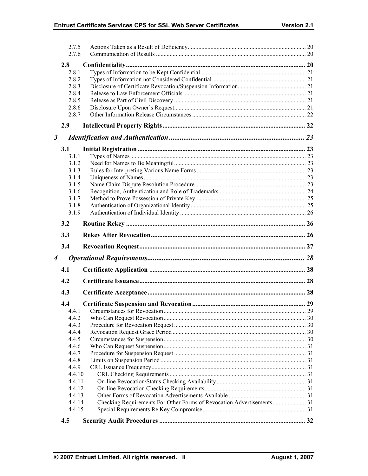|                      | 2.7.5<br>2.7.6   |  |
|----------------------|------------------|--|
|                      | 2.8              |  |
|                      | 2.8.1            |  |
|                      | 2.8.2            |  |
|                      | 2.8.3            |  |
|                      | 2.8.4            |  |
|                      | 2.8.5            |  |
|                      | 2.8.6            |  |
|                      | 2.8.7            |  |
|                      | 2.9              |  |
| $\boldsymbol{\beta}$ |                  |  |
|                      | 3.1              |  |
|                      | 3.1.1            |  |
|                      | 3.1.2            |  |
|                      | 3.1.3            |  |
|                      | 3.1.4            |  |
|                      | 3.1.5            |  |
|                      | 3.1.6            |  |
|                      | 3.1.7            |  |
|                      | 3.1.8            |  |
|                      | 3.1.9            |  |
|                      | 3.2              |  |
|                      | 3.3              |  |
|                      | 3.4              |  |
| 4                    |                  |  |
|                      |                  |  |
|                      | 4.1              |  |
|                      | 4.2              |  |
|                      | 4.3              |  |
|                      | 4.4              |  |
|                      | 4.4.1            |  |
|                      | 4.4.2            |  |
|                      | 4.4.3            |  |
|                      | 4.4.4            |  |
|                      | 4.4.5            |  |
|                      | 4.4.6            |  |
|                      | 4.4.7            |  |
|                      | 4.4.8            |  |
|                      | 4.4.9            |  |
|                      | 4.4.10<br>4.4.11 |  |
|                      | 4.4.12           |  |
|                      | 4.4.13           |  |
|                      | 4.4.14           |  |
|                      | 4.4.15           |  |
|                      | 4.5              |  |
|                      |                  |  |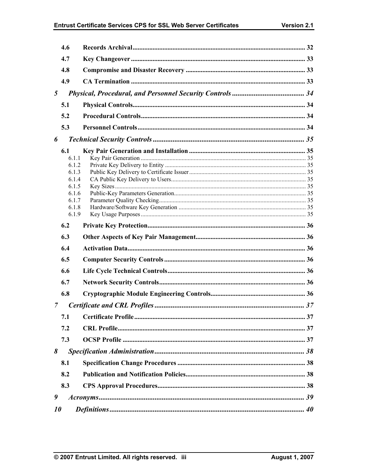| 4.7<br>4.8<br>4.9<br>$5\overline{)}$<br>5.1<br>5.2<br>5.3<br>6<br>6.1<br>6.1.1<br>6.1.2<br>6.1.3<br>6.1.4<br>6.1.5<br>6.1.6<br>6.1.7<br>6.1.8<br>6.1.9<br>6.2<br>6.3<br>6.4<br>6.5<br>6.6<br>6.7<br>6.8<br>7<br>7.1<br>7.2<br>7.3<br>8<br>8.1<br>8.2<br>8.3<br>9<br>10 | 4.6 |  |
|------------------------------------------------------------------------------------------------------------------------------------------------------------------------------------------------------------------------------------------------------------------------|-----|--|
|                                                                                                                                                                                                                                                                        |     |  |
|                                                                                                                                                                                                                                                                        |     |  |
|                                                                                                                                                                                                                                                                        |     |  |
|                                                                                                                                                                                                                                                                        |     |  |
|                                                                                                                                                                                                                                                                        |     |  |
|                                                                                                                                                                                                                                                                        |     |  |
|                                                                                                                                                                                                                                                                        |     |  |
|                                                                                                                                                                                                                                                                        |     |  |
|                                                                                                                                                                                                                                                                        |     |  |
|                                                                                                                                                                                                                                                                        |     |  |
|                                                                                                                                                                                                                                                                        |     |  |
|                                                                                                                                                                                                                                                                        |     |  |
|                                                                                                                                                                                                                                                                        |     |  |
|                                                                                                                                                                                                                                                                        |     |  |
|                                                                                                                                                                                                                                                                        |     |  |
|                                                                                                                                                                                                                                                                        |     |  |
|                                                                                                                                                                                                                                                                        |     |  |
|                                                                                                                                                                                                                                                                        |     |  |
|                                                                                                                                                                                                                                                                        |     |  |
|                                                                                                                                                                                                                                                                        |     |  |
|                                                                                                                                                                                                                                                                        |     |  |
|                                                                                                                                                                                                                                                                        |     |  |
|                                                                                                                                                                                                                                                                        |     |  |
|                                                                                                                                                                                                                                                                        |     |  |
|                                                                                                                                                                                                                                                                        |     |  |
|                                                                                                                                                                                                                                                                        |     |  |
|                                                                                                                                                                                                                                                                        |     |  |
|                                                                                                                                                                                                                                                                        |     |  |
|                                                                                                                                                                                                                                                                        |     |  |
|                                                                                                                                                                                                                                                                        |     |  |
|                                                                                                                                                                                                                                                                        |     |  |
|                                                                                                                                                                                                                                                                        |     |  |
|                                                                                                                                                                                                                                                                        |     |  |
|                                                                                                                                                                                                                                                                        |     |  |
|                                                                                                                                                                                                                                                                        |     |  |
|                                                                                                                                                                                                                                                                        |     |  |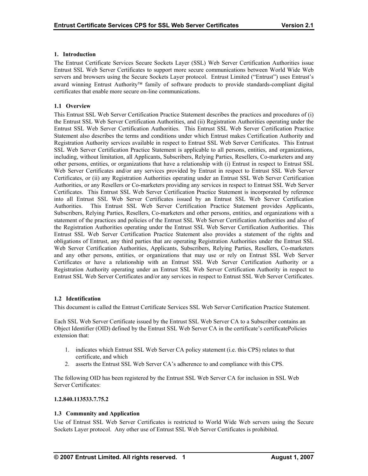# <span id="page-5-0"></span>**1. Introduction**

The Entrust Certificate Services Secure Sockets Layer (SSL) Web Server Certification Authorities issue Entrust SSL Web Server Certificates to support more secure communications between World Wide Web servers and browsers using the Secure Sockets Layer protocol. Entrust Limited ("Entrust") uses Entrust's award winning Entrust Authority™ family of software products to provide standards-compliant digital certificates that enable more secure on-line communications.

# **1.1 Overview**

This Entrust SSL Web Server Certification Practice Statement describes the practices and procedures of (i) the Entrust SSL Web Server Certification Authorities, and (ii) Registration Authorities operating under the Entrust SSL Web Server Certification Authorities. This Entrust SSL Web Server Certification Practice Statement also describes the terms and conditions under which Entrust makes Certification Authority and Registration Authority services available in respect to Entrust SSL Web Server Certificates. This Entrust SSL Web Server Certification Practice Statement is applicable to all persons, entities, and organizations, including, without limitation, all Applicants, Subscribers, Relying Parties, Resellers, Co-marketers and any other persons, entities, or organizations that have a relationship with (i) Entrust in respect to Entrust SSL Web Server Certificates and/or any services provided by Entrust in respect to Entrust SSL Web Server Certificates, or (ii) any Registration Authorities operating under an Entrust SSL Web Server Certification Authorities, or any Resellers or Co-marketers providing any services in respect to Entrust SSL Web Server Certificates. This Entrust SSL Web Server Certification Practice Statement is incorporated by reference into all Entrust SSL Web Server Certificates issued by an Entrust SSL Web Server Certification Authorities. This Entrust SSL Web Server Certification Practice Statement provides Applicants, Subscribers, Relying Parties, Resellers, Co-marketers and other persons, entities, and organizations with a statement of the practices and policies of the Entrust SSL Web Server Certification Authorities and also of the Registration Authorities operating under the Entrust SSL Web Server Certification Authorities. This Entrust SSL Web Server Certification Practice Statement also provides a statement of the rights and obligations of Entrust, any third parties that are operating Registration Authorities under the Entrust SSL Web Server Certification Authorities, Applicants, Subscribers, Relying Parties, Resellers, Co-marketers and any other persons, entities, or organizations that may use or rely on Entrust SSL Web Server Certificates or have a relationship with an Entrust SSL Web Server Certification Authority or a Registration Authority operating under an Entrust SSL Web Server Certification Authority in respect to Entrust SSL Web Server Certificates and/or any services in respect to Entrust SSL Web Server Certificates.

#### **1.2 Identification**

This document is called the Entrust Certificate Services SSL Web Server Certification Practice Statement.

Each SSL Web Server Certificate issued by the Entrust SSL Web Server CA to a Subscriber contains an Object Identifier (OID) defined by the Entrust SSL Web Server CA in the certificate's certificatePolicies extension that:

- 1. indicates which Entrust SSL Web Server CA policy statement (i.e. this CPS) relates to that certificate, and which
- 2. asserts the Entrust SSL Web Server CA's adherence to and compliance with this CPS.

The following OID has been registered by the Entrust SSL Web Server CA for inclusion in SSL Web Server Certificates:

#### **1.2.840.113533.7.75.2**

# **1.3 Community and Application**

Use of Entrust SSL Web Server Certificates is restricted to World Wide Web servers using the Secure Sockets Layer protocol. Any other use of Entrust SSL Web Server Certificates is prohibited.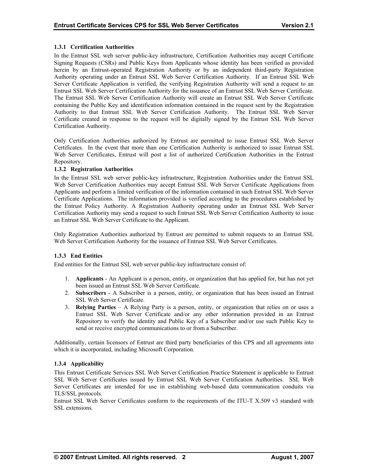# <span id="page-6-0"></span>**1.3.1 Certification Authorities**

In the Entrust SSL web server public-key infrastructure, Certification Authorities may accept Certificate Signing Requests (CSRs) and Public Keys from Applicants whose identity has been verified as provided herein by an Entrust-operated Registration Authority or by an independent third-party Registration Authority operating under an Entrust SSL Web Server Certification Authority. If an Entrust SSL Web Server Certificate Application is verified, the verifying Registration Authority will send a request to an Entrust SSL Web Server Certification Authority for the issuance of an Entrust SSL Web Server Certificate. The Entrust SSL Web Server Certification Authority will create an Entrust SSL Web Server Certificate containing the Public Key and identification information contained in the request sent by the Registration Authority to that Entrust SSL Web Server Certification Authority. The Entrust SSL Web Server Certificate created in response to the request will be digitally signed by the Entrust SSL Web Server Certification Authority.

Only Certification Authorities authorized by Entrust are permitted to issue Entrust SSL Web Server Certificates. In the event that more than one Certification Authority is authorized to issue Entrust SSL Web Server Certificates, Entrust will post a list of authorized Certification Authorities in the Entrust Repository.

# **1.3.2 Registration Authorities**

In the Entrust SSL web server public-key infrastructure, Registration Authorities under the Entrust SSL Web Server Certification Authorities may accept Entrust SSL Web Server Certificate Applications from Applicants and perform a limited verification of the information contained in such Entrust SSL Web Server Certificate Applications. The information provided is verified according to the procedures established by the Entrust Policy Authority. A Registration Authority operating under an Entrust SSL Web Server Certification Authority may send a request to such Entrust SSL Web Server Certification Authority to issue an Entrust SSL Web Server Certificate to the Applicant.

Only Registration Authorities authorized by Entrust are permitted to submit requests to an Entrust SSL Web Server Certification Authority for the issuance of Entrust SSL Web Server Certificates.

# **1.3.3 End Entities**

End entities for the Entrust SSL web server public-key infrastructure consist of:

- 1. **Applicants** An Applicant is a person, entity, or organization that has applied for, but has not yet been issued an Entrust SSL Web Server Certificate.
- 2. Subscribers A Subscriber is a person, entity, or organization that has been issued an Entrust SSL Web Server Certificate.
- 3. **Relying Parties** A Relying Party is a person, entity, or organization that relies on or uses a Entrust SSL Web Server Certificate and/or any other information provided in an Entrust Repository to verify the identity and Public Key of a Subscriber and/or use such Public Key to send or receive encrypted communications to or from a Subscriber.

Additionally, certain licensors of Entrust are third party beneficiaries of this CPS and all agreements into which it is incorporated, including Microsoft Corporation.

# **1.3.4 Applicability**

This Entrust Certificate Services SSL Web Server Certification Practice Statement is applicable to Entrust SSL Web Server Certificates issued by Entrust SSL Web Server Certification Authorities. SSL Web Server Certificates are intended for use in establishing web-based data communication conduits via TLS/SSL protocols.

Entrust SSL Web Server Certificates conform to the requirements of the ITU-T X.509 v3 standard with SSL extensions.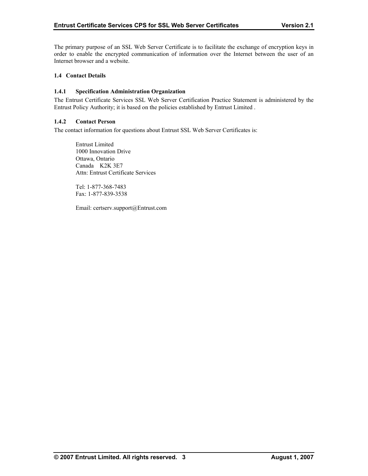<span id="page-7-0"></span>The primary purpose of an SSL Web Server Certificate is to facilitate the exchange of encryption keys in order to enable the encrypted communication of information over the Internet between the user of an Internet browser and a website.

#### **1.4 Contact Details**

#### **1.4.1 Specification Administration Organization**

The Entrust Certificate Services SSL Web Server Certification Practice Statement is administered by the Entrust Policy Authority; it is based on the policies established by Entrust Limited .

#### **1.4.2 Contact Person**

The contact information for questions about Entrust SSL Web Server Certificates is:

 Entrust Limited 1000 Innovation Drive Ottawa, Ontario Canada K2K 3E7 Attn: Entrust Certificate Services

 Tel: 1-877-368-7483 Fax: 1-877-839-3538

Email: certserv.support@Entrust.com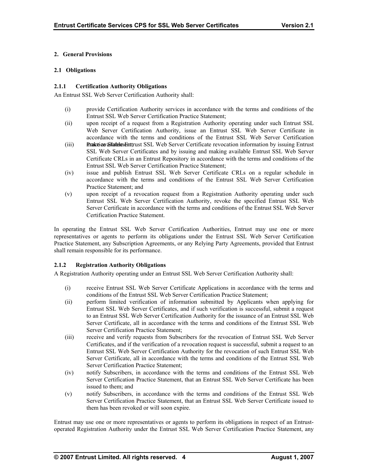# <span id="page-8-0"></span>**2. General Provisions**

#### **2.1 Obligations**

# **2.1.1 Certification Authority Obligations**

An Entrust SSL Web Server Certification Authority shall:

- (i) provide Certification Authority services in accordance with the terms and conditions of the Entrust SSL Web Server Certification Practice Statement;
- (ii) upon receipt of a request from a Registration Authority operating under such Entrust SSL Web Server Certification Authority, issue an Entrust SSL Web Server Certificate in accordance with the terms and conditions of the Entrust SSL Web Server Certification
- (iii) make the Statem and Entertiation SSL Web Server Certificate revocation information by issuing Entrust SSL Web Server Certificates and by issuing and making available Entrust SSL Web Server Certificate CRLs in an Entrust Repository in accordance with the terms and conditions of the Entrust SSL Web Server Certification Practice Statement;
- (iv) issue and publish Entrust SSL Web Server Certificate CRLs on a regular schedule in accordance with the terms and conditions of the Entrust SSL Web Server Certification Practice Statement; and
- (v) upon receipt of a revocation request from a Registration Authority operating under such Entrust SSL Web Server Certification Authority, revoke the specified Entrust SSL Web Server Certificate in accordance with the terms and conditions of the Entrust SSL Web Server Certification Practice Statement.

In operating the Entrust SSL Web Server Certification Authorities, Entrust may use one or more representatives or agents to perform its obligations under the Entrust SSL Web Server Certification Practice Statement, any Subscription Agreements, or any Relying Party Agreements, provided that Entrust shall remain responsible for its performance.

# **2.1.2 Registration Authority Obligations**

A Registration Authority operating under an Entrust SSL Web Server Certification Authority shall:

- (i) receive Entrust SSL Web Server Certificate Applications in accordance with the terms and conditions of the Entrust SSL Web Server Certification Practice Statement;
- (ii) perform limited verification of information submitted by Applicants when applying for Entrust SSL Web Server Certificates, and if such verification is successful, submit a request to an Entrust SSL Web Server Certification Authority for the issuance of an Entrust SSL Web Server Certificate, all in accordance with the terms and conditions of the Entrust SSL Web Server Certification Practice Statement;
- (iii) receive and verify requests from Subscribers for the revocation of Entrust SSL Web Server Certificates, and if the verification of a revocation request is successful, submit a request to an Entrust SSL Web Server Certification Authority for the revocation of such Entrust SSL Web Server Certificate, all in accordance with the terms and conditions of the Entrust SSL Web Server Certification Practice Statement;
- (iv) notify Subscribers, in accordance with the terms and conditions of the Entrust SSL Web Server Certification Practice Statement, that an Entrust SSL Web Server Certificate has been issued to them; and
- (v) notify Subscribers, in accordance with the terms and conditions of the Entrust SSL Web Server Certification Practice Statement, that an Entrust SSL Web Server Certificate issued to them has been revoked or will soon expire.

Entrust may use one or more representatives or agents to perform its obligations in respect of an Entrustoperated Registration Authority under the Entrust SSL Web Server Certification Practice Statement, any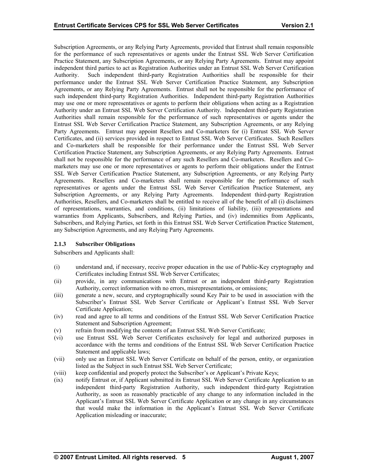<span id="page-9-0"></span>Subscription Agreements, or any Relying Party Agreements, provided that Entrust shall remain responsible for the performance of such representatives or agents under the Entrust SSL Web Server Certification Practice Statement, any Subscription Agreements, or any Relying Party Agreements. Entrust may appoint independent third parties to act as Registration Authorities under an Entrust SSL Web Server Certification Authority. Such independent third-party Registration Authorities shall be responsible for their performance under the Entrust SSL Web Server Certification Practice Statement, any Subscription Agreements, or any Relying Party Agreements. Entrust shall not be responsible for the performance of such independent third-party Registration Authorities. Independent third-party Registration Authorities may use one or more representatives or agents to perform their obligations when acting as a Registration Authority under an Entrust SSL Web Server Certification Authority. Independent third-party Registration Authorities shall remain responsible for the performance of such representatives or agents under the Entrust SSL Web Server Certification Practice Statement, any Subscription Agreements, or any Relying Party Agreements. Entrust may appoint Resellers and Co-marketers for (i) Entrust SSL Web Server Certificates, and (ii) services provided in respect to Entrust SSL Web Server Certificates. Such Resellers and Co-marketers shall be responsible for their performance under the Entrust SSL Web Server Certification Practice Statement, any Subscription Agreements, or any Relying Party Agreements. Entrust shall not be responsible for the performance of any such Resellers and Co-marketers. Resellers and Comarketers may use one or more representatives or agents to perform their obligations under the Entrust SSL Web Server Certification Practice Statement, any Subscription Agreements, or any Relying Party Agreements. Resellers and Co-marketers shall remain responsible for the performance of such representatives or agents under the Entrust SSL Web Server Certification Practice Statement, any Subscription Agreements, or any Relying Party Agreements. Independent third-party Registration Authorities, Resellers, and Co-marketers shall be entitled to receive all of the benefit of all (i) disclaimers of representations, warranties, and conditions, (ii) limitations of liability, (iii) representations and warranties from Applicants, Subscribers, and Relying Parties, and (iv) indemnities from Applicants, Subscribers, and Relying Parties, set forth in this Entrust SSL Web Server Certification Practice Statement, any Subscription Agreements, and any Relying Party Agreements.

#### **2.1.3 Subscriber Obligations**

Subscribers and Applicants shall:

- (i) understand and, if necessary, receive proper education in the use of Public-Key cryptography and Certificates including Entrust SSL Web Server Certificates;
- Authority, correct information with no errors, misrepresentations, or omissions; (ii) provide, in any communications with Entrust or an independent third-party Registration
- Subscriber's Entrust SSL Web Server Certificate or Applicant's Entrust SSL Web Server (iii) generate a new, secure, and cryptographically sound Key Pair to be used in association with the Certificate Application;
- (iv) Statement and Subscription Agreement; read and agree to all terms and conditions of the Entrust SSL Web Server Certification Practice
- (v) refrain from modifying the contents of an Entrust SSL Web Server Certificate;
- (vi) use Entrust SSL Web Server Certificates exclusively for legal and authorized purposes in accordance with the terms and conditions of the Entrust SSL Web Server Certification Practice Statement and applicable laws;
- (vii) listed as the Subject in such Entrust SSL Web Server Certificate; only use an Entrust SSL Web Server Certificate on behalf of the person, entity, or organization
- (viii) keep confidential and properly protect the Subscriber's or Applicant's Private Keys;
- (ix) notify Entrust or, if Applicant submitted its Entrust SSL Web Server Certificate Application to an independent third-party Registration Authority, such independent third-party Registration Authority, as soon as reasonably practicable of any change to any information included in the Applicant's Entrust SSL Web Server Certificate Application or any change in any circumstances that would make the information in the Applicant's Entrust SSL Web Server Certificate Application misleading or inaccurate;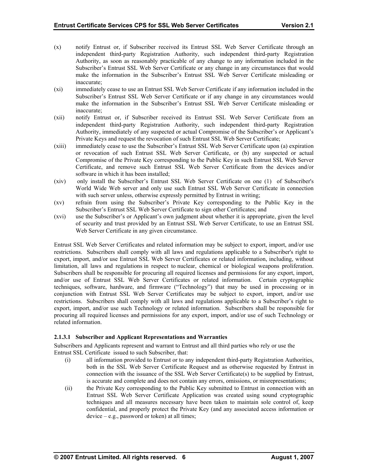- (x) notify Entrust or, if Subscriber received its Entrust SSL Web Server Certificate through an independent third-party Registration Authority, such independent third-party Registration Authority, as soon as reasonably practicable of any change to any information included in the Subscriber's Entrust SSL Web Server Certificate or any change in any circumstances that would make the information in the Subscriber's Entrust SSL Web Server Certificate misleading or inaccurate;
- (xi) immediately cease to use an Entrust SSL Web Server Certificate if any information included in the Subscriber's Entrust SSL Web Server Certificate or if any change in any circumstances would make the information in the Subscriber's Entrust SSL Web Server Certificate misleading or inaccurate;
- (xii) notify Entrust or, if Subscriber received its Entrust SSL Web Server Certificate from an independent third-party Registration Authority, such independent third-party Registration Authority, immediately of any suspected or actual Compromise of the Subscriber's or Applicant's Private Keys and request the revocation of such Entrust SSL Web Server Certificate;
- (xiii) immediately cease to use the Subscriber's Entrust SSL Web Server Certificate upon (a) expiration or revocation of such Entrust SSL Web Server Certificate, or (b) any suspected or actual Compromise of the Private Key corresponding to the Public Key in such Entrust SSL Web Server Certificate, and remove such Entrust SSL Web Server Certificate from the devices and/or software in which it has been installed;
- (xiv) only install the Subscriber's Entrust SSL Web Server Certificate on one (1) of Subscriber's World Wide Web server and only use such Entrust SSL Web Server Certificate in connection with such server unless, otherwise expressly permitted by Entrust in writing;
- (xv) refrain from using the Subscriber's Private Key corresponding to the Public Key in the Subscriber's Entrust SSL Web Server Certificate to sign other Certificates; and
- (xvi) use the Subscriber's or Applicant's own judgment about whether it is appropriate, given the level of security and trust provided by an Entrust SSL Web Server Certificate, to use an Entrust SSL Web Server Certificate in any given circumstance.

Entrust SSL Web Server Certificates and related information may be subject to export, import, and/or use restrictions. Subscribers shall comply with all laws and regulations applicable to a Subscriber's right to export, import, and/or use Entrust SSL Web Server Certificates or related information, including, without limitation, all laws and regulations in respect to nuclear, chemical or biological weapons proliferation. Subscribers shall be responsible for procuring all required licenses and permissions for any export, import, and/or use of Entrust SSL Web Server Certificates or related information. Certain cryptographic techniques, software, hardware, and firmware ("Technology") that may be used in processing or in conjunction with Entrust SSL Web Server Certificates may be subject to export, import, and/or use restrictions. Subscribers shall comply with all laws and regulations applicable to a Subscriber's right to export, import, and/or use such Technology or related information. Subscribers shall be responsible for procuring all required licenses and permissions for any export, import, and/or use of such Technology or related information.

# **2.1.3.1 Subscriber and Applicant Representations and Warranties**

Subscribers and Applicants represent and warrant to Entrust and all third parties who rely or use the Entrust SSL Certificate issued to such Subscriber, that:

- (i) all information provided to Entrust or to any independent third-party Registration Authorities, both in the SSL Web Server Certificate Request and as otherwise requested by Entrust in connection with the issuance of the SSL Web Server Certificate(s) to be supplied by Entrust, is accurate and complete and does not contain any errors, omissions, or misrepresentations;
- (ii) the Private Key corresponding to the Public Key submitted to Entrust in connection with an Entrust SSL Web Server Certificate Application was created using sound cryptographic techniques and all measures necessary have been taken to maintain sole control of, keep confidential, and properly protect the Private Key (and any associated access information or device – e.g., password or token) at all times;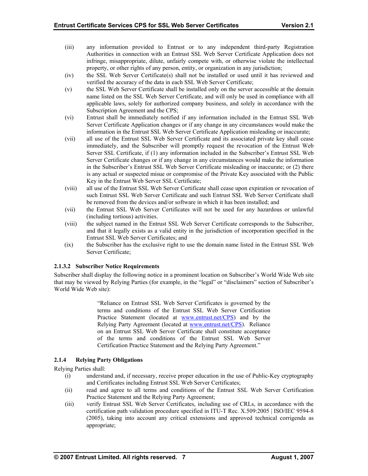- <span id="page-11-0"></span>(iii) Authorities in connection with an Entrust SSL Web Server Certificate Application does not property, or other rights of any person, entity, or organization in any jurisdiction; any information provided to Entrust or to any independent third-party Registration infringe, misappropriate, dilute, unfairly compete with, or otherwise violate the intellectual
- (iv) the SSL Web Server Certificate(s) shall not be installed or used until it has reviewed and verified the accuracy of the data in each SSL Web Server Certificate;
- (v) name listed on the SSL Web Server Certificate, and will only be used in compliance with all the SSL Web Server Certificate shall be installed only on the server accessible at the domain applicable laws, solely for authorized company business, and solely in accordance with the Subscription Agreement and the CPS;
- (vi) Entrust shall be immediately notified if any information included in the Entrust SSL Web Server Certificate Application changes or if any change in any circumstances would make the information in the Entrust SSL Web Server Certificate Application misleading or inaccurate;
- (vii) in the Subscriber's Entrust SSL Web Server Certificate misleading or inaccurate; or (2) there all use of the Entrust SSL Web Server Certificate and its associated private key shall cease immediately, and the Subscriber will promptly request the revocation of the Entrust Web Server SSL Certificate, if (1) any information included in the Subscriber's Entrust SSL Web Server Certificate changes or if any change in any circumstances would make the information is any actual or suspected misue or compromise of the Private Key associated with the Public Key in the Entrust Web Server SSL Certificate;
- (viii) all use of the Entrust SSL Web Server Certificate shall cease upon expiration or revocation of be removed from the devices and/or software in which it has been installed; and such Entrust SSL Web Server Certificate and such Entrust SSL Web Server Certificate shall
- (vii) the Entrust SSL Web Server Certificates will not be used for any hazardous or unlawful (including tortious) activities.
- (viii) the subject named in the Entrust SSL Web Server Certificate corresponds to the Subscriber, Entrust SSL Web Server Certificates; and and that it legally exists as a valid entity in the jurisdiction of incorporation specified in the
- (ix) the Subscriber has the exclusive right to use the domain name listed in the Entrust SSL Web Server Certificate;

#### **2.1.3.2 Subscriber Notice Requirements**

Subscriber shall display the following notice in a prominent location on Subscriber's World Wide Web site that may be viewed by Relying Parties (for example, in the "legal" or "disclaimers" section of Subscriber's World Wide Web site):

> "Reliance on Entrust SSL Web Server [Certificates is](http://www.entrust.net/CPS) governed by the terms and conditions of the Entrus[t SSL Web Server C](http://www.entrust.net/CPS)ertification Practice Statement (located at www.entrust.net/CPS) and by the Relying Party Agreement (located at www.entrust.net/CPS). Reliance on an Entrust SSL Web Server Certificate shall constitute acceptance of the terms and conditions of the Entrust SSL Web Server Certification Practice Statement and the Relying Party Agreement."

# **2.1. Rely 4 ing Party Obligations**

Relying Parti es shall:

- and Certificates including Entrust SSL Web Server Certificates; (i) understand and, if necessary, receive proper education in the use of Public-Key cryptography
- (ii) read and agree to all terms and conditions of the Entrust SSL Web Server Certification Practice Statement and the Relying Party Agreement;
- (iii) certification path validation procedure specified in ITU-T Rec. X.509:2005 | ISO/IEC 9594-8 (2005), taking into account any critical extensions and approved technical corrigenda as appropriate; verify Entrust SSL Web Server Certificates, including use of CRLs, in accordance with the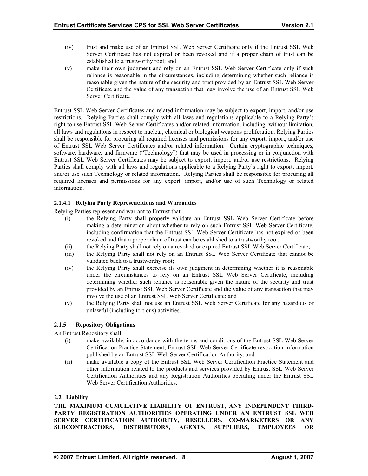- <span id="page-12-0"></span>(iv) trust and make use of an Entrust SSL Web Server Certificate only if the Entrust SSL Web Server Certificate has not expired or been revoked and if a proper chain of trust can be established to a trustworthy root; and
- (v) make their own judgment and rely on an Entrust SSL Web Server Certificate only if such reliance is reasonable in the circumstances, including determining whether such reliance is reasonable given the nature of the security and trust provided by an Entrust SSL Web Server Certificate and the value of any transaction that may involve the use of an Entrust SSL Web Server Certificate.

Entrust SSL Web Server Certificates and related information may be subject to export, import, and/or use restrictions. Relying Parties shall comply with all laws and regulations applicable to a Relying Party's right to use Entrust SSL Web Server Certificates and/or related information, including, without limitation, all laws and regulations in respect to nuclear, chemical or biological weapons proliferation. Relying Parties shall be responsible for procuring all required licenses and permissions for any export, import, and/or use of Entrust SSL Web Server Certificates and/or related information. Certain cryptographic techniques, software, hardware, and firmware ("Technology") that may be used in processing or in conjunction with Entrust SSL Web Server Certificates may be subject to export, import, and/or use restrictions. Relying Parties shall comply with all laws and regulations applicable to a Relying Party's right to export, import, and/or use such Technology or related information. Relying Parties shall be responsible for procuring all required licenses and permissions for any export, import, and/or use of such Technology or related information.

# **2.1.4.1 Relying Party Representations and Warranties**

Relying Parties represent and warrant to Entrust that:

- (i) the Relying Party shall properly validate an Entrust SSL Web Server Certificate before making a determination about whether to rely on such Entrust SSL Web Server Certificate, including confirmation that the Entrust SSL Web Server Certificate has not expired or been revoked and that a proper chain of trust can be established to a trustworthy root;
- (ii) the Relying Party shall not rely on a revoked or expired Entrust SSL Web Server Certificate;
- (iii) the Relying Party shall not rely on an Entrust SSL Web Server Certificate that cannot be validated back to a trustworthy root;
- (iv) the Relying Party shall exercise its own judgment in determining whether it is reasonable under the circumstances to rely on an Entrust SSL Web Server Certificate, including determining whether such reliance is reasonable given the nature of the security and trust provided by an Entrust SSL Web Server Certificate and the value of any transaction that may involve the use of an Entrust SSL Web Server Certificate; and
- (v) the Relying Party shall not use an Entrust SSL Web Server Certificate for any hazardous or unlawful (including tortious) activities.

# **2.1.5 Repository Obligations**

An Entrust Repository shall:

- (i) make available, in accordance with the terms and conditions of the Entrust SSL Web Server Certification Practice Statement, Entrust SSL Web Server Certificate revocation information published by an Entrust SSL Web Server Certification Authority; and
- (ii) make available a copy of the Entrust SSL Web Server Certification Practice Statement and other information related to the products and services provided by Entrust SSL Web Server Certification Authorities and any Registration Authorities operating under the Entrust SSL Web Server Certification Authorities.

#### **2.2 Liability**

**THE MAXIMUM CUMULATIVE LIABILITY OF ENTRUST, ANY INDEPENDENT THIRD-PARTY REGISTRATION AUTHORITIES OPERATING UNDER AN ENTRUST SSL WEB SERVER CERTIFICATION AUTHORITY, RESELLERS, CO-MARKETERS OR ANY SUBCONTRACTORS, DISTRIBUTORS, AGENTS, SUPPLIERS, EMPLOYEES OR**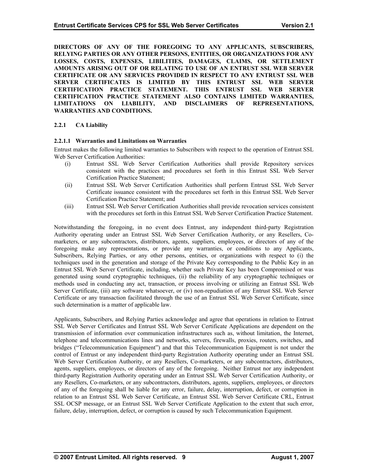<span id="page-13-0"></span>**DIRECTORS OF ANY OF THE FOREGOING TO ANY APPLICANTS, SUBSCRIBERS, RELYING PARTIES OR ANY OTHER PERSONS, ENTITIES, OR ORGANIZATIONS FOR ANY LOSSES, COSTS, EXPENSES, LIBILITIES, DAMAGES, CLAIMS, OR SETTLEMENT AMOUNTS ARISING OUT OF OR RELATING TO USE OF AN ENTRUST SSL WEB SERVER CERTIFICATE OR ANY SERVICES PROVIDED IN RESPECT TO ANY ENTRUST SSL WEB SERVER CERTIFICATES IS LIMITED BY THIS ENTRUST SSL WEB SERVER CERTIFICATION PRACTICE STATEMENT. THIS ENTRUST SSL WEB SERVER CERTIFICATION PRACTICE STATEMENT ALSO CONTAINS LIMITED WARRANTIES, LIMITATIONS ON LIABILITY, AND DISCLAIMERS OF REPRESENTATIONS, WARRANTIES AND CONDITIONS.** 

# **2.2.1 CA Liability**

# **2.2.1.1 Warranties and Limitations on Warranties**

Entrust makes the following limited warranties to Subscribers with respect to the operation of Entrust SSL Web Server Certification Authorities:

- (i) Entrust SSL Web Server Certification Authorities shall provide Repository services consistent with the practices and procedures set forth in this Entrust SSL Web Server Certification Practice Statement;
- (ii) Entrust SSL Web Server Certification Authorities shall perform Entrust SSL Web Server Certificate issuance consistent with the procedures set forth in this Entrust SSL Web Server Certification Practice Statement; and
- (iii) Entrust SSL Web Server Certification Authorities shall provide revocation services consistent with the procedures set forth in this Entrust SSL Web Server Certification Practice Statement.

Notwithstanding the foregoing, in no event does Entrust, any independent third-party Registration Authority operating under an Entrust SSL Web Server Certification Authority, or any Resellers, Comarketers, or any subcontractors, distributors, agents, suppliers, employees, or directors of any of the foregoing make any representations, or provide any warranties, or conditions to any Applicants, Subscribers, Relying Parties, or any other persons, entities, or organizations with respect to (i) the techniques used in the generation and storage of the Private Key corresponding to the Public Key in an Entrust SSL Web Server Certificate, including, whether such Private Key has been Compromised or was generated using sound cryptographic techniques, (ii) the reliability of any cryptographic techniques or methods used in conducting any act, transaction, or process involving or utilizing an Entrust SSL Web Server Certificate, (iii) any software whatsoever, or (iv) non-repudiation of any Entrust SSL Web Server Certificate or any transaction facilitated through the use of an Entrust SSL Web Server Certificate, since such determination is a matter of applicable law.

Applicants, Subscribers, and Relying Parties acknowledge and agree that operations in relation to Entrust SSL Web Server Certificates and Entrust SSL Web Server Certificate Applications are dependent on the transmission of information over communication infrastructures such as, without limitation, the Internet, telephone and telecommunications lines and networks, servers, firewalls, proxies, routers, switches, and bridges ("Telecommunication Equipment") and that this Telecommunication Equipment is not under the control of Entrust or any independent third-party Registration Authority operating under an Entrust SSL Web Server Certification Authority, or any Resellers, Co-marketers, or any subcontractors, distributors, agents, suppliers, employees, or directors of any of the foregoing. Neither Entrust nor any independent third-party Registration Authority operating under an Entrust SSL Web Server Certification Authority, or any Resellers, Co-marketers, or any subcontractors, distributors, agents, suppliers, employees, or directors of any of the foregoing shall be liable for any error, failure, delay, interruption, defect, or corruption in relation to an Entrust SSL Web Server Certificate, an Entrust SSL Web Server Certificate CRL, Entrust SSL OCSP message, or an Entrust SSL Web Server Certificate Application to the extent that such error, failure, delay, interruption, defect, or corruption is caused by such Telecommunication Equipment.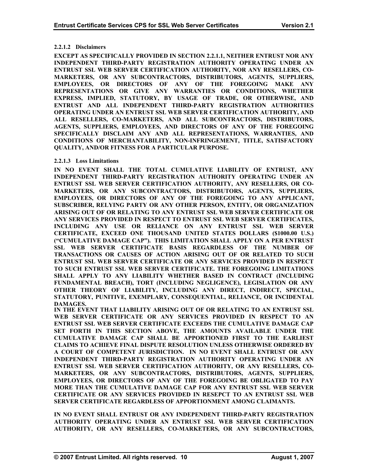# **2.2.1.2 Disclaimers**

**EXCEPT AS SPECIFICALLY PROVIDED IN SECTION 2.2.1.1, NEITHER ENTRUST NOR ANY INDEPENDENT THIRD-PARTY REGISTRATION AUTHORITY OPERATING UNDER AN ENTRUST SSL WEB SERVER CERTIFICATION AUTHORITY, NOR ANY RESELLERS, CO-MARKETERS, OR ANY SUBCONTRACTORS, DISTRIBUTORS, AGENTS, SUPPLIERS, EMPLOYEES, OR DIRECTORS OF ANY OF THE FOREGOING MAKE ANY REPRESENTATIONS OR GIVE ANY WARRANTIES OR CONDITIONS, WHETHER EXPRESS, IMPLIED, STATUTORY, BY USAGE OF TRADE, OR OTHERWISE, AND ENTRUST AND ALL INDEPENDENT THIRD-PARTY REGISTRATION AUTHORITIES OPERATING UNDER AN ENTRUST SSL WEB SERVER CERTIFICATION AUTHORITY, AND ALL RESELLERS, CO-MARKETERS, AND ALL SUBCONTRACTORS, DISTRIBUTORS, AGENTS, SUPPLIERS, EMPLOYEES, AND DIRECTORS OF ANY OF THE FOREGOING SPECIFICALLY DISCLAIM ANY AND ALL REPRESENTATIONS, WARRANTIES, AND CONDITIONS OF MERCHANTABILITY, NON-INFRINGEMENT, TITLE, SATISFACTORY QUALITY, AND/OR FITNESS FOR A PARTICULAR PURPOSE.** 

# **2.2.1.3 Loss Limitations**

**IN NO EVENT SHALL THE TOTAL CUMULATIVE LIABILITY OF ENTRUST, ANY INDEPENDENT THIRD-PARTY REGISTRATION AUTHORITY OPERATING UNDER AN ENTRUST SSL WEB SERVER CERTIFICATION AUTHORITY, ANY RESELLERS, OR CO-MARKETERS, OR ANY SUBCONTRACTORS, DISTRIBUTORS, AGENTS, SUPPLIERS, EMPLOYEES, OR DIRECTORS OF ANY OF THE FOREGOING TO ANY APPLICANT, SUBSCRIBER, RELYING PARTY OR ANY OTHER PERSON, ENTITY, OR ORGANIZATION ARISING OUT OF OR RELATING TO ANY ENTRUST SSL WEB SERVER CERTIFICATE OR ANY SERVICES PROVIDED IN RESPECT TO ENTRUST SSL WEB SERVER CERTIFICATES, INCLUDING ANY USE OR RELIANCE ON ANY ENTRUST SSL WEB SERVER CERTIFICATE, EXCEED ONE THOUSAND UNITED STATES DOLLARS (\$1000.00 U.S.) ("CUMULATIVE DAMAGE CAP"). THIS LIMITATION SHALL APPLY ON A PER ENTRUST SSL WEB SERVER CERTIFICATE BASIS REGARDLESS OF THE NUMBER OF TRANSACTIONS OR CAUSES OF ACTION ARISING OUT OF OR RELATED TO SUCH ENTRUST SSL WEB SERVER CERTIFICATE OR ANY SERVICES PROVIDED IN RESPECT TO SUCH ENTRUST SSL WEB SERVER CERTIFICATE. THE FOREGOING LIMITATIONS SHALL APPLY TO ANY LIABILITY WHETHER BASED IN CONTRACT (INCLUDING FUNDAMENTAL BREACH), TORT (INCLUDING NEGLIGENCE), LEGISLATION OR ANY OTHER THEORY OF LIABILITY, INCLUDING ANY DIRECT, INDIRECT, SPECIAL, STATUTORY, PUNITIVE, EXEMPLARY, CONSEQUENTIAL, RELIANCE, OR INCIDENTAL DAMAGES.** 

**IN THE EVENT THAT LIABILITY ARISING OUT OF OR RELATING TO AN ENTRUST SSL WEB SERVER CERTIFICATE OR ANY SERVICES PROVIDED IN RESPECT TO AN ENTRUST SSL WEB SERVER CERTIFICATE EXCEEDS THE CUMULATIVE DAMAGE CAP SET FORTH IN THIS SECTION ABOVE, THE AMOUNTS AVAILABLE UNDER THE CUMULATIVE DAMAGE CAP SHALL BE APPORTIONED FIRST TO THE EARLIEST CLAIMS TO ACHIEVE FINAL DISPUTE RESOLUTION UNLESS OTHERWISE ORDERED BY A COURT OF COMPETENT JURISDICTION. IN NO EVENT SHALL ENTRUST OR ANY INDEPENDENT THIRD-PARTY REGISTRATION AUTHORITY OPERATING UNDER AN ENTRUST SSL WEB SERVER CERTIFICATION AUTHORITY, OR ANY RESELLERS, CO-MARKETERS, OR ANY SUBCONTRACTORS, DISTRIBUTORS, AGENTS, SUPPLIERS, EMPLOYEES, OR DIRECTORS OF ANY OF THE FOREGOING BE OBLIGATED TO PAY MORE THAN THE CUMULATIVE DAMAGE CAP FOR ANY ENTRUST SSL WEB SERVER CERTIFICATE OR ANY SERVICES PROVIDED IN RESEPCT TO AN ENTRUST SSL WEB SERVER CERTIFICATE REGARDLESS OF APPORTIONMENT AMONG CLAIMANTS.** 

**IN NO EVENT SHALL ENTRUST OR ANY INDEPENDENT THIRD-PARTY REGISTRATION UTHORITY OPERATING UNDER AN ENTRUST SSL WEB SERVER CERTIFICATION A AUTHORITY, OR ANY RESELLERS, CO-MARKETERS, OR ANY SUBCONTRACTORS,**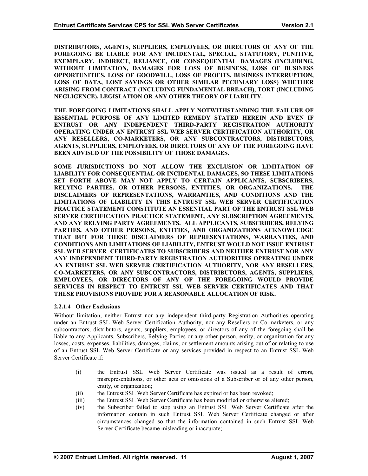**DISTRIBUTORS, AGENTS, SUPPLIERS, EMPLOYEES, OR DIRECTORS OF ANY OF THE FOREGOING BE LIABLE FOR ANY INCIDENTAL, SPECIAL, STATUTORY, PUNITIVE, EXEMPLARY, INDIRECT, RELIANCE, OR CONSEQUENTIAL DAMAGES (INCLUDING, WITHOUT LIMITATION, DAMAGES FOR LOSS OF BUSINESS, LOSS OF BUSINESS OPPORTUNITIES, LOSS OF GOODWILL, LOSS OF PROFITS, BUSINESS INTERRUPTION, LOSS OF DATA, LOST SAVINGS OR OTHER SIMILAR PECUNIARY LOSS) WHETHER ARISING FROM CONTRACT (INCLUDING FUNDAMENTAL BREACH), TORT (INCLUDING NEGLIGENCE), LEGISLATION OR ANY OTHER THEORY OF LIABILITY.** 

**THE FOREGOING LIMITATIONS SHALL APPLY NOTWITHSTANDING THE FAILURE OF ESSENTIAL PURPOSE OF ANY LIMITED REMEDY STATED HEREIN AND EVEN IF NTRUST OR ANY INDEPENDENT THIRD-PARTY REGISTRATION AUTHORITY E OPERATING UNDER AN ENTRUST SSL WEB SERVER CERTIFICATION AUTHORITY, OR ANY RESELLERS, CO-MARKETERS, OR ANY SUBCONTRACTORS, DISTRIBUTORS, AGENTS, SUPPLIERS, EMPLOYEES, OR DIRECTORS OF ANY OF THE FOREGOING HAVE BEEN ADVISED OF THE POSSIBILITY OF THOSE DAMAGES.** 

**S, SO THESE LIMITATIONS LIABILITY FOR CONSEQUENTIAL OR INCIDENTAL DAMAGE ET FORTH ABOVE MAY NOT APPLY TO CERTAIN APPLICANTS, SUBSCRIBERS, S SOME JURISDICTIONS DO NOT ALLOW THE EXCLUSION OR LIMITATION OF RELYING PARTIES, OR OTHER PERSONS, ENTITIES, OR ORGANIZATIONS. THE DISCLAIMERS OF REPRESENTATIONS, WARRANTIES, AND CONDITIONS AND THE LIMITATIONS OF LIABILITY IN THIS ENTRUST SSL WEB SERVER CERTIFICATION PRACTICE STATEMENT CONSTITUTE AN ESSENTIAL PART OF THE ENTRUST SSL WEB SERVER CERTIFICATION PRACTICE STATEMENT, ANY SUBSCRIPTION AGREEMENTS, AND ANY RELYING PARTY AGREEMENTS. ALL APPLICANTS, SUBSCRIBERS, RELYING PARTIES, AND OTHER PERSONS, ENTITIES, AND ORGANIZATIONS ACKNOWLEDGE THAT BUT FOR THESE DISCLAIMERS OF REPRESENTATIONS, WARRANTIES, AND CONDITIONS AND LIMITATIONS OF LIABILITY, ENTRUST WOULD NOT ISSUE ENTRUST SSL WEB SERVER CERTIFICATES TO SUBSCRIBERS AND NEITHER ENTRUST NOR ANY ANY INDEPENDENT THIRD-PARTY REGISTRATION AUTHORITIES OPERATING UNDER AN ENTRUST SSL WEB SERVER CERTIFICATION AUTHORITY, NOR ANY RESELLERS, CO-MARKETERS, OR ANY SUBCONTRACTORS, DISTRIBUTORS, AGENTS, SUPPLIERS, EMPLOYEES, OR DIRECTORS OF ANY OF THE FOREGOING WOULD PROVIDE SERVICES IN RESPECT TO ENTRUST SSL WEB SERVER CERTIFICATES AND THAT THESE PROVISIONS PROVIDE FOR A REASONABLE ALLOCATION OF RISK.** 

# **2.2.1.4 Other Exclusions**

Without limitation, neither Entrust nor any independent third-party Registration Authorities operating under an Entrust SSL Web Server Certification Authority, nor any Resellers or Co-marketers, or any subcontractors, distributors, agents, suppliers, employees, or directors of any of the foregoing shall be liable to any Applicants, Subscribers, Relying Parties or any other person, entity, or organization for any losses, costs, expenses, liabilities, damages, claims, or settlement amounts arising out of or relating to use of an Entrust SSL Web Server Certificate or any services provided in respect to an Entrust SSL Web Server Certificate if:

- misrepresentations, or other acts or omissions of a Subscriber or of any other person, entity, or organization; (i) the Entrust SSL Web Server Certificate was issued as a result of errors,
- (ii) the Entrust SSL Web Server Certificate has expired or has been revoked;
- (iii) the Entrust SSL Web Server Certificate has been modified or otherwise altered;
- (iv) the Subscriber failed to stop using an Entrust SSL Web Server Certificate after the information contain in such Entrust SSL Web Server Certificate changed or after circumstances changed so that the information contained in such Entrust SSL Web Server Certificate became misleading or inaccurate;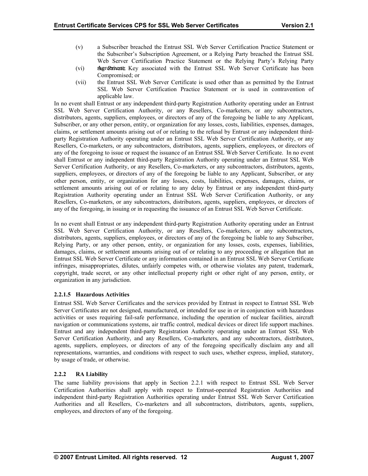- (v) a Subscriber breached the Entrust SSL Web Server Certification Practice Statement or the Subscriber's Subscription Agreement, or a Relying Party breached the Entrust SSL Web Server Certification Practice Statement or the Relying Party's Relying Party
- (vi) **the Represent Agreem the Represent Agreem the Private SSL Web Server Certificate has been** Compromised; or
- (vii) . applicable law the Entrust SSL Web Server Certificate is used other than as permitted by the Entrust SSL Web Server Certification Practice Statement or is used in contravention of

In no event shall Entrust or any independent third-party Registration Authority operating under an Entrust SSL Web Server Certification Authority, or any Resellers, Co-marketers, or any subcontractors, distributors, agents, suppliers, employees, or directors of any of the foregoing be liable to any Applicant, Subscriber, or any other person, entity, or organization for any losses, costs, liabilities, expenses, damages, claims, or settlement amounts arising out of or relating to the refusal by Entrust or any independent thirdparty Registration Authority operating under an Entrust SSL Web Server Certification Authority, or any Resellers, Co-marketers, or any subcontractors, distributors, agents, suppliers, employees, or directors of any of the foregoing to issue or request the issuance of an Entrust SSL Web Server Certificate. In no event shall Entrust or any independent third-party Registration Authority operating under an Entrust SSL Web Server Certification Authority, or any Resellers, Co-marketers, or any subcontractors, distributors, agents, suppliers, employees, or directors of any of the foregoing be liable to any Applicant, Subscriber, or any other person, entity, or organization for any losses, costs, liabilities, expenses, damages, claims, or settlement amounts arising out of or relating to any delay by Entrust or any independent third-party Registration Authority operating under an Entrust SSL Web Server Certification Authority, or any Resellers, Co-marketers, or any subcontractors, distributors, agents, suppliers, employees, or directors of any of the foregoing, in issuing or in requesting the issuance of an Entrust SSL Web Server Certificate.

damages, claims, or settlement amounts arising out of or relating to any proceeding or allegation that an Entrust SSL Web Server Certificate or any information contained in an Entrust SSL Web Server Certificate In no event shall Entrust or any independent third-party Registration Authority operating under an Entrust SSL Web Server Certification Authority, or any Resellers, Co-marketers, or any subcontractors, distributors, agents, suppliers, employees, or directors of any of the foregoing be liable to any Subscriber, Relying Party, or any other person, entity, or organization for any losses, costs, expenses, liabilities, infringes, misappropriates, dilutes, unfairly competes with, or otherwise violates any patent, trademark, copyright, trade secret, or any other intellectual property right or other right of any person, entity, or organization in any jurisdiction.

#### **2.2.1.5 Hazardous Activities**

navigation or communications systems, air traffic control, medical devices or direct life support machines. Entrust and any independent third-party Registration Authority operating under an Entrust SSL Web Server Certification Authority, and any Resellers, Co-marketers, and any subcontractors, distributors, Entrust SSL Web Server Certificates and the services provided by Entrust in respect to Entrust SSL Web Server Certificates are not designed, manufactured, or intended for use in or in conjunction with hazardous activities or uses requiring fail-safe performance, including the operation of nuclear facilities, aircraft agents, suppliers, employees, or directors of any of the foregoing specifically disclaim any and all representations, warranties, and conditions with respect to such uses, whether express, implied, statutory, by usage of trade, or otherwise.

# **2.2.2 RA Liability**

Authorities and all Resellers, Co-marketers and all subcontractors, distributors, agents, suppliers, employees, and directors of any of the foregoing. The same liability provisions that apply in Section 2.2.1 with respect to Entrust SSL Web Server Certification Authorities shall apply with respect to Entrust-operated Registration Authorities and independent third-party Registration Authorities operating under Entrust SSL Web Server Certification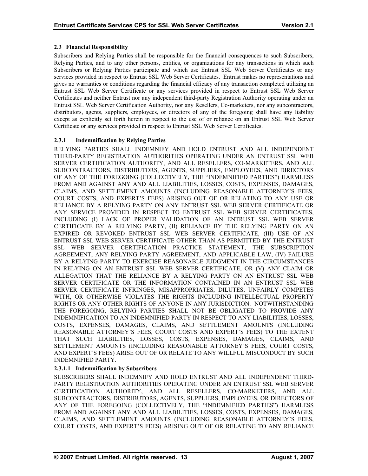# <span id="page-17-0"></span>**2.3 Financial Responsibility**

gives no warranties or conditions regarding the financial efficacy of any transaction completed utilizing an Entrust SSL Web Server Certificate or any services provided in respect to Entrust SSL Web Server Certificates and neither Entrust nor any independent third-party Registration Authority operating under an Subscribers and Relying Parties shall be responsible for the financial consequences to such Subscribers, Relying Parties, and to any other persons, entities, or organizations for any transactions in which such Subscribers or Relying Parties participate and which use Entrust SSL Web Server Certificates or any services provided in respect to Entrust SSL Web Server Certificates. Entrust makes no representations and Entrust SSL Web Server Certification Authority, nor any Resellers, Co-marketers, nor any subcontractors, distributors, agents, suppliers, employees, or directors of any of the foregoing shall have any liability except as explicitly set forth herein in respect to the use of or reliance on an Entrust SSL Web Server Certificate or any services provided in respect to Entrust SSL Web Server Certificates.

# **2.3.1 Indemnification by Relying Parties**

OF ANY OF THE FOREGOING (COLLECTIVELY, THE "INDEMNIFIED PARTIES") HARMLESS FROM AND AGAINST ANY AND ALL LIABILITIES, LOSSES, COSTS, EXPENSES, DAMAGES, CLAIMS, AND SETTLEMENT AMOUNTS (INCLUDING REASONABLE ATTORNEY'S FEES, RELYING PARTIES SHALL INDEMNIFY AND HOLD ENTRUST AND ALL INDEPENDENT THIRD-PARTY REGISTRATION AUTHORITIES OPERATING UNDER AN ENTRUST SSL WEB SERVER CERTIFICATION AUTHORITY, AND ALL RESELLERS, CO-MARKETERS, AND ALL SUBCONTRACTORS, DISTRIBUTORS, AGENTS, SUPPLIERS, EMPLOYEES, AND DIRECTORS COURT COSTS, AND EXPERT'S FEES) ARISING OUT OF OR RELATING TO ANY USE OR RELIANCE BY A RELYING PARTY ON ANY ENTRUST SSL WEB SERVER CERTIFICATE OR ANY SERVICE PROVIDED IN RESPECT TO ENTRUST SSL WEB SERVER CERTIFICATES, INCLUDING (I) LACK OF PROPER VALIDATION OF AN ENTRUST SSL WEB SERVER CERTIFICATE BY A RELYING PARTY, (II) RELIANCE BY THE RELYING PARTY ON AN EXPIRED OR REVOKED ENTRUST SSL WEB SERVER CERTIFICATE, (III) USE OF AN ENTRUST SSL WEB SERVER CERTIFICATE OTHER THAN AS PERMITTED BY THE ENTRUST SSL WEB SERVER CERTIFICATION PRACTICE STATEMENT, THE SUBSCRIPTION AGREEMENT, ANY RELYING PARTY AGREEMENT, AND APPLICABLE LAW, (IV) FAILURE BY A RELYING PARTY TO EXERCISE REASONABLE JUDGMENT IN THE CIRCUMSTANCES IN RELYING ON AN ENTRUST SSL WEB SERVER CERTIFICATE, OR (V) ANY CLAIM OR ALLEGATION THAT THE RELIANCE BY A RELYING PARTY ON AN ENTRUST SSL WEB SERVER CERTIFICATE OR THE INFORMATION CONTAINED IN AN ENTRUST SSL WEB SERVER CERTIFICATE INFRINGES, MISAPPROPRIATES, DILUTES, UNFAIRLY COMPETES WITH, OR OTHERWISE VIOLATES THE RIGHTS INCLUDING INTELLECTUAL PROPERTY RIGHTS OR ANY OTHER RIGHTS OF ANYONE IN ANY JURISDICTION. NOTWITHSTANDING THE FOREGOING, RELYING PARTIES SHALL NOT BE OBLIGATED TO PROVIDE ANY INDEMNIFICATION TO AN INDEMNIFIED PARTY IN RESPECT TO ANY LIABILITIES, LOSSES, COSTS, EXPENSES, DAMAGES, CLAIMS, AND SETTLEMENT AMOUNTS (INCLUDING REASONABLE ATTORNEY'S FEES, COURT COSTS AND EXPERT'S FEES) TO THE EXTENT THAT SUCH LIABILITIES, LOSSES, COSTS, EXPENSES, DAMAGES, CLAIMS, AND SETTLEMENT AMOUNTS (INCLUDING REASONABLE ATTORNEY'S FEES, COURT COSTS, AND EXPERT'S FEES) ARISE OUT OF OR RELATE TO ANY WILLFUL MISCONDUCT BY SUCH INDEMNIFIED PARTY.

# **2.3.1.1 Indemnification by Subscribers**

FROM AND AGAINST ANY AND ALL LIABILITIES, LOSSES, COSTS, EXPENSES, DAMAGES, CLAIMS, AND SETTLEMENT AMOUNTS (INCLUDING REASONABLE ATTORNEY'S FEES, COURT COSTS, AND EXPERT'S FEES) ARISING OUT OF OR RELATING TO ANY RELIANCE SUBSCRIBERS SHALL INDEMNIFY AND HOLD ENTRUST AND ALL INDEPENDENT THIRD-PARTY REGISTRATION AUTHORITIES OPERATING UNDER AN ENTRUST SSL WEB SERVER CERTIFICATION AUTHORITY, AND ALL RESELLERS, CO-MARKETERS, AND ALL SUBCONTRACTORS, DISTRIBUTORS, AGENTS, SUPPLIERS, EMPLOYEES, OR DIRECTORS OF ANY OF THE FOREGOING (COLLECTIVELY, THE "INDEMNIFIED PARTIES") HARMLESS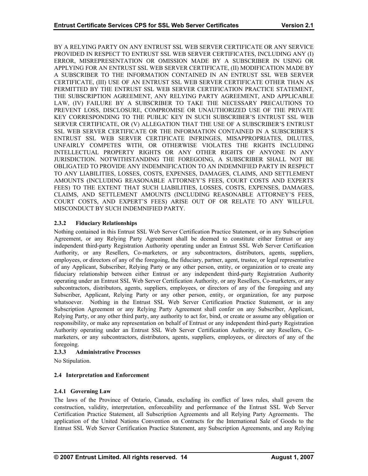<span id="page-18-0"></span>BY A RELYING PARTY ON ANY ENTRUST SSL WEB SERVER CERTIFICATE OR ANY SERVICE PROVIDED IN RESPECT TO ENTRUST SSL WEB SERVER CERTIFICATES, INCLUDING ANY (I) ERROR, MISREPRESENTATION OR OMISSION MADE BY A SUBSCRIBER IN USING OR APPLYING FOR AN ENTRUST SSL WEB SERVER CERTIFICATE, (II) MODIFICATION MADE BY A SUBSCRIBER TO THE INFORMATION CONTAINED IN AN ENTRUST SSL WEB SERVER CERTIFICATE, (III) USE OF AN ENTRUST SSL WEB SERVER CERTIFICATE OTHER THAN AS PERMITTED BY THE ENTRUST SSL WEB SERVER CERTIFICATION PRACTICE STATEMENT, THE SUBSCRIPTION AGREEMENT, ANY RELYING PARTY AGREEMENT, AND APPLICABLE LAW, (IV) FAILURE BY A SUBSCRIBER TO TAKE THE NECESSARY PRECAUTIONS TO PREVENT LOSS, DISCLOSURE, COMPROMISE OR UNAUTHORIZED USE OF THE PRIVATE KEY CORRESPONDING TO THE PUBLIC KEY IN SUCH SUBSCRIBER'S ENTRUST SSL WEB SERVER CERTIFICATE, OR (V) ALLEGATION THAT THE USE OF A SUBSCRIBER'S ENTRUST SSL WEB SERVER CERTIFICATE OR THE INFORMATION CONTAINED IN A SUBSCRIBER'S ENTRUST SSL WEB SERVER CERTIFICATE INFRINGES, MISAPPROPRIATES, DILUTES, UNFAIRLY COMPETES WITH, OR OTHERWISE VIOLATES THE RIGHTS INCLUDING INTELLECTUAL PROPERTY RIGHTS OR ANY OTHER RIGHTS OF ANYONE IN ANY JURISDICTION. NOTWITHSTANDING THE FOREGOING, A SUBSCRIBER SHALL NOT BE OBLIGATED TO PROVIDE ANY INDEMNIFICATION TO AN INDEMNIFIED PARTY IN RESPECT TO ANY LIABILITIES, LOSSES, COSTS, EXPENSES, DAMAGES, CLAIMS, AND SETTLEMENT AMOUNTS (INCLUDING REASONABLE ATTORNEY'S FEES, COURT COSTS AND EXPERTS FEES) TO THE EXTENT THAT SUCH LIABILITIES, LOSSES, COSTS, EXPENSES, DAMAGES, CLAIMS, AND SETTLEMENT AMOUNTS (INCLUDING REASONABLE ATTORNEY'S FEES, COURT COSTS, AND EXPERT'S FEES) ARISE OUT OF OR RELATE TO ANY WILLFUL MISCONDUCT BY SUCH INDEMNIFIED PARTY.

# **2.3.2 Fiduciary Relationships**

fiduciary relationship between either Entrust or any independent third-party Registration Authority operating under an Entrust SSL Web Server Certification Authority, or any Resellers, Co-marketers, or any subcontractors, distributors, agents, suppliers, employees, or directors of any of the foregoing and any Nothing contained in this Entrust SSL Web Server Certification Practice Statement, or in any Subscription Agreement, or any Relying Party Agreement shall be deemed to constitute either Entrust or any independent third-party Registration Authority operating under an Entrust SSL Web Server Certification Authority, or any Resellers, Co-marketers, or any subcontractors, distributors, agents, suppliers, employees, or directors of any of the foregoing, the fiduciary, partner, agent, trustee, or legal representative of any Applicant, Subscriber, Relying Party or any other person, entity, or organization or to create any Subscriber, Applicant, Relying Party or any other person, entity, or organization, for any purpose whatsoever. Nothing in the Entrust SSL Web Server Certification Practice Statement, or in any Subscription Agreement or any Relying Party Agreement shall confer on any Subscriber, Applicant, Relying Party, or any other third party, any authority to act for, bind, or create or assume any obligation or responsibility, or make any representation on behalf of Entrust or any independent third-party Registration Authority operating under an Entrust SSL Web Server Certification Authority, or any Resellers, Comarketers, or any subcontractors, distributors, agents, suppliers, employees, or directors of any of the foregoing.

#### **2.3.3 Administrative Processes**

No Stipulation.

#### **2.4 Interpretation and Enforcement**

#### **2.4.1 Governing Law**

construction, validity, interpretation, enforceability and performance of the Entrust SSL Web Server Certification Practice Statement, all Subscription Agreements and all Relying Party Agreements. The application of the United Nations Convention on Contracts for the International Sale of Goods to the Entrust SSL Web Server Certification Practice Statement, any Subscription Agreements, and any Relying The laws of the Province of Ontario, Canada, excluding its conflict of laws rules, shall govern the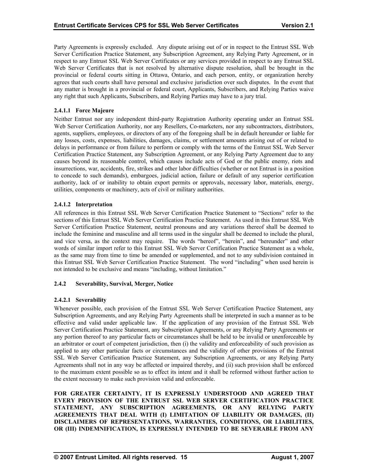<span id="page-19-0"></span>Party Agreements is expressly excluded. Any dispute arising out of or in respect to the Entrust SSL Web Server Certification Practice Statement, any Subscription Agreement, any Relying Party Agreement, or in respect to any Entrust SSL Web Server Certificates or any services provided in respect to any Entrust SSL Web Server Certificates that is not resolved by alternative dispute resolution, shall be brought in the provincial or federal courts sitting in Ottawa, Ontario, and each person, entity, or organization hereby agrees that such courts shall have personal and exclusive jurisdiction over such disputes. In the event that any matter is brought in a provincial or federal court, Applicants, Subscribers, and Relying Parties waive any right that such Applicants, Subscribers, and Relying Parties may have to a jury trial.

# **2.4.1.1 Force Majeure**

authority, lack of or inability to obtain export permits or approvals, necessary labor, materials, energy, utilities, components or machinery, acts of civil or military authorities. Neither Entrust nor any independent third-party Registration Authority operating under an Entrust SSL Web Server Certification Authority, nor any Resellers, Co-marketers, nor any subcontractors, distributors, agents, suppliers, employees, or directors of any of the foregoing shall be in default hereunder or liable for any losses, costs, expenses, liabilities, damages, claims, or settlement amounts arising out of or related to delays in performance or from failure to perform or comply with the terms of the Entrust SSL Web Server Certification Practice Statement, any Subscription Agreement, or any Relying Party Agreement due to any causes beyond its reasonable control, which causes include acts of God or the public enemy, riots and insurrections, war, accidents, fire, strikes and other labor difficulties (whether or not Entrust is in a position to concede to such demands), embargoes, judicial action, failure or default of any superior certification

# **2.4.1.2 Interpretation**

All references in this Entrust SSL Web Server Certification Practice Statement to "Sections" refer to the sections of this Entrust SSL Web Server Certification Practice Statement. As used in this Entrust SSL Web Server Certification Practice Statement, neutral pronouns and any variations thereof shall be deemed to include the feminine and masculine and all terms used in the singular shall be deemed to include the plural, and vice versa, as the context may require. The words "hereof", "herein", and "hereunder" and other words of similar import refer to this Entrust SSL Web Server Certification Practice Statement as a whole, as the same may from time to time be amended or supplemented, and not to any subdivision contained in this Entrust SSL Web Server Certification Practice Statement. The word "including" when used herein is not intended to be exclusive and means "including, without limitation."

#### 2.4.2 **Severability, Survival, Merger, Notice**

# **2.4.2.1 Severability**

applied to any other particular facts or circumstances and the validity of other provisions of the Entrust SSL Web Server Certification Practice Statement, any Subscription Agreements, or any Relying Party Agreements shall not in any way be affected or impaired thereby, and (ii) such provision shall be enforced to the maximum extent possible so as to effect its intent and it shall be reformed without further action to the extent necessary to make such provision valid and enforceable. Whenever possible, each provision of the Entrust SSL Web Server Certification Practice Statement, any Subscription Agreements, and any Relying Party Agreements shall be interpreted in such a manner as to be effective and valid under applicable law. If the application of any provision of the Entrust SSL Web Server Certification Practice Statement, any Subscription Agreements, or any Relying Party Agreements or any portion thereof to any particular facts or circumstances shall be held to be invalid or unenforceable by an arbitrator or court of competent jurisdiction, then (i) the validity and enforceability of such provision as

**FOR GREATER CERTAINTY, IT IS EXPRESSLY UNDERSTOOD AND AGREED THAT EVERY PROVISION OF THE ENTRUST SSL WEB SERVER CERTIFICATION PRACTICE STATEMENT, ANY SUBSCRIPTION AGREEMENTS, OR ANY RELYING PARTY AGREEMENTS THAT DEAL WITH (I) LIMITATION OF LIABILITY OR DAMAGES, (II) DISCLAIMERS OF REPRESENTATIONS, WARRANTIES, CONDITIONS, OR LIABILITIES, OR (III) INDEMNIFICATION, IS EXPRESSLY INTENDED TO BE SEVERABLE FROM ANY**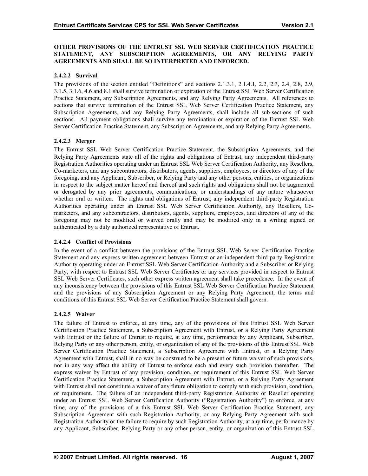#### **OTHER PROVISIONS OF THE ENTRUST SSL WEB SERVER CERTIFICATION PRACTICE STATEMENT, ANY SUBSCRIPTION AGREEMENTS, OR ANY RELYING PARTY AGREEMENTS AND SHALL BE SO INTERPRETED AND ENFORCED.**

# **2.4.2.2 Survival**

The provisions of the section entitled "Definitions" and sections 2.1.3.1, 2.1.4.1, 2.2, 2.3, 2.4, 2.8, 2.9, 3.1.5, 3.1.6, 4.6 and 8.1 shall survive termination or expiration of the Entrust SSL Web Server Certification Practice Statement, any Subscription Agreements, and any Relying Party Agreements. All references to sections that survive termination of the Entrust SSL Web Server Certification Practice Statement, any Subscription Agreements, and any Relying Party Agreements, shall include all sub-sections of such sections. All payment obligations shall survive any termination or expiration of the Entrust SSL Web Server Certification Practice Statement, any Subscription Agreements, and any Relying Party Agreements.

# **2.4.2.3 Merger**

The Entrust SSL Web Server Certification Practice Statement, the Subscription Agreements, and the Relying Party Agreements state all of the rights and obligations of Entrust, any independent third-party Registration Authorities operating under an Entrust SSL Web Server Certification Authority, any Resellers, foregoing may not be modified or waived orally and may be modified only in a writing signed or authenticated by a duly authorized representative of Entrust. Co-marketers, and any subcontractors, distributors, agents, suppliers, employees, or directors of any of the foregoing, and any Applicant, Subscriber, or Relying Party and any other persons, entities, or organizations in respect to the subject matter hereof and thereof and such rights and obligations shall not be augmented or derogated by any prior agreements, communications, or understandings of any nature whatsoever whether oral or written. The rights and obligations of Entrust, any independent third-party Registration Authorities operating under an Entrust SSL Web Server Certification Authority, any Resellers, Comarketers, and any subcontractors, distributors, agents, suppliers, employees, and directors of any of the

#### **2.4.2.4 Conflict of Provisions**

In the event of a conflict between the provisions of the Entrust SSL Web Server Certification Practice Statement and any express written agreement between Entrust or an independent third-party Registration Authority operating under an Entrust SSL Web Server Certification Authority and a Subscriber or Relying Party, with respect to Entrust SSL Web Server Certificates or any services provided in respect to Entrust SSL Web Server Certificates, such other express written agreement shall take precedence. In the event of any inconsistency between the provisions of this Entrust SSL Web Server Certification Practice Statement and the provisions of any Subscription Agreement or any Relying Party Agreement, the terms and conditions of this Entrust SSL Web Server Certification Practice Statement shall govern.

#### **2.4.2.5 Waiver**

The failure of Entrust to enforce, at any time, any of the provisions of this Entrust SSL Web Server Certification Practice Statement, a Subscription Agreement with Entrust, or a Relying Party Agreement with Entrust shall not constitute a waiver of any future obligation to comply with such provision, condition, or requirement. The failure of an independent third-party Registration Authority or Reseller operating under an Entrust SSL Web Server Certification Authority ("Registration Authority") to enforce, at any with Entrust or the failure of Entrust to require, at any time, performance by any Applicant, Subscriber, Relying Party or any other person, entity, or organization of any of the provisions of this Entrust SSL Web Server Certification Practice Statement, a Subscription Agreement with Entrust, or a Relying Party Agreement with Entrust, shall in no way be construed to be a present or future waiver of such provisions, nor in any way affect the ability of Entrust to enforce each and every such provision thereafter. The express waiver by Entrust of any provision, condition, or requirement of this Entrust SSL Web Server Certification Practice Statement, a Subscription Agreement with Entrust, or a Relying Party Agreement time, any of the provisions of a this Entrust SSL Web Server Certification Practice Statement, any Subscription Agreement with such Registration Authority, or any Relying Party Agreement with such Registration Authority or the failure to require by such Registration Authority, at any time, performance by any Applicant, Subscriber, Relying Party or any other person, entity, or organization of this Entrust SSL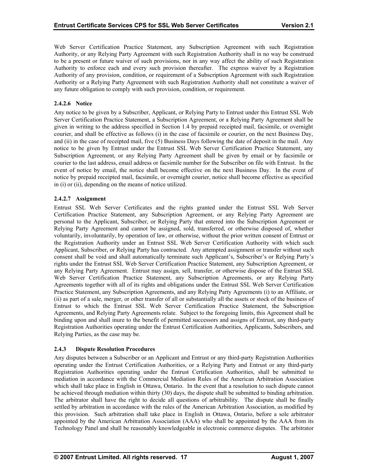Web Server Certification Practice Statement, any Subscription Agreement with such Registration Authority, or any Relying Party Agreement with such Registration Authority shall in no way be construed to be a present or future waiver of such provisions, nor in any way affect the ability of such Registration Authority to enforce each and every such provision thereafter. The express waiver by a Registration Authority of any provision, condition, or requirement of a Subscription Agreement with such Registration Authority or a Relying Party Agreement with such Registration Authority shall not constitute a waiver of any future obligation to comply with such provision, condition, or requirement.

# **2.4.2.6 Notice**

Any notice to be given by a Subscriber, Applicant, or Relying Party to Entrust under this Entrust SSL Web Server Certification Practice Statement, a Subscription Agreement, or a Relying Party Agreement shall be given in writing to the address specified in Section 1.4 by prepaid receipted mail, facsimile, or overnight courier, and shall be effective as follows (i) in the case of facsimile or courier, on the next Business Day, and (ii) in the case of receipted mail, five (5) Business Days following the date of deposit in the mail. Any notice to be given by Entrust under the Entrust SSL Web Server Certification Practice Statement, any Subscription Agreement, or any Relying Party Agreement shall be given by email or by facsimile or courier to the last address, email address or facsimile number for the Subscriber on file with Entrust. In the event of notice by email, the notice shall become effective on the next Business Day. In the event of notice by prepaid receipted mail, facsimile, or overnight courier, notice shall become effective as specified in  $(i)$  or  $(ii)$ , depending on the means of notice utilized.

# **2.4.2.7 Assignment**

any Relying Party Agreement. Entrust may assign, sell, transfer, or otherwise dispose of the Entrust SSL Web Server Certification Practice Statement, any Subscription Agreements, or any Relying Party Agreements together with all of its rights and obligations under the Entrust SSL Web Server Certification Entrust SSL Web Server Certificates and the rights granted under the Entrust SSL Web Server Certification Practice Statement, any Subscription Agreement, or any Relying Party Agreement are personal to the Applicant, Subscriber, or Relying Party that entered into the Subscription Agreement or Relying Party Agreement and cannot be assigned, sold, transferred, or otherwise disposed of, whether voluntarily, involuntarily, by operation of law, or otherwise, without the prior written consent of Entrust or the Registration Authority under an Entrust SSL Web Server Certification Authority with which such Applicant, Subscriber, or Relying Party has contracted. Any attempted assignment or transfer without such consent shall be void and shall automatically terminate such Applicant's, Subscriber's or Relying Party's rights under the Entrust SSL Web Server Certification Practice Statement, any Subscription Agreement, or Practice Statement, any Subscription Agreements, and any Relying Party Agreements (i) to an Affiliate, or (ii) as part of a sale, merger, or other transfer of all or substantially all the assets or stock of the business of Entrust to which the Entrust SSL Web Server Certification Practice Statement, the Subscription Agreements, and Relying Party Agreements relate. Subject to the foregoing limits, this Agreement shall be binding upon and shall inure to the benefit of permitted successors and assigns of Entrust, any third-party Registration Authorities operating under the Entrust Certification Authorities, Applicants, Subscribers, and Relying Parties, as the case may be.

#### **2.4.3 Dispute Resolution Procedures**

appointed by the American Arbitration Association (AAA) who shall be appointed by the AAA from its Technology Panel and shall be reasonably knowledgeable in electronic commerce disputes. The arbitrator Any disputes between a Subscriber or an Applicant and Entrust or any third-party Registration Authorities operating under the Entrust Certification Authorities, or a Relying Party and Entrust or any third-party Registration Authorities operating under the Entrust Certification Authorities, shall be submitted to mediation in accordance with the Commercial Mediation Rules of the American Arbitration Association which shall take place in English in Ottawa, Ontario. In the event that a resolution to such dispute cannot be achieved through mediation within thirty (30) days, the dispute shall be submitted to binding arbitration. The arbitrator shall have the right to decide all questions of arbitrability. The dispute shall be finally settled by arbitration in accordance with the rules of the American Arbitration Association, as modified by this provision. Such arbitration shall take place in English in Ottawa, Ontario, before a sole arbitrator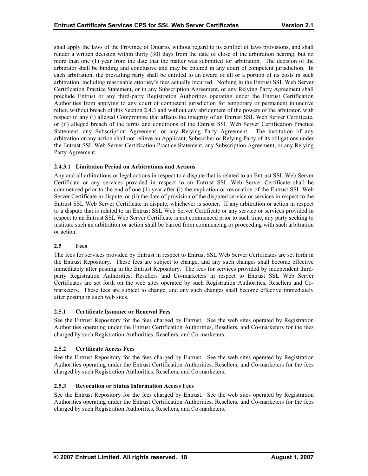<span id="page-22-0"></span>shall apply the laws of the Province of Ontario, without regard to its conflict of laws provisions, and shall render a written decision within thirty (30) days from the date of close of the arbitration hearing, but no more than one (1) year from the date that the matter was submitted for arbitration. The decision of the arbitrator shall be binding and conclusive and may be entered in any court of competent jurisdiction. In each arbitration, the prevailing party shall be entitled to an award of all or a portion of its costs in such arbitration, including reasonable attorney's fees actually incurred. Nothing in the Entrust SSL Web Server Certification Practice Statement, or in any Subscription Agreement, or any Relying Party Agreement shall preclude Entrust or any third-party Registration Authorities operating under the Entrust Certification Authorities from applying to any court of competent jurisdiction for temporary or permanent injunctive relief, without breach of this Section 2.4.3 and without any abridgment of the powers of the arbitrator, with respect to any (i) alleged Compromise that affects the integrity of an Entrust SSL Web Server Certificate, or (ii) alleged breach of the terms and conditions of the Entrust SSL Web Server Certification Practice Statement, any Subscription Agreement, or any Relying Party Agreement. The institution of any arbitration or any action shall not relieve an Applicant, Subscriber or Relying Party of its obligations under the Entrust SSL Web Server Certification Practice Statement, any Subscription Agreement, or any Relying Party Agreement.

# **2.4.3.1 Limitation Period on Arbitrations and Actions**

Any and all arbitrations or legal actions in respect to a dispute that is related to an Entrust SSL Web Server Certificate or any services provided in respect to an Entrust SSL Web Server Certificate shall be commenced prior to the end of one (1) year after (i) the expiration or revocation of the Entrust SSL Web Server Certificate in dispute, or (ii) the date of provision of the disputed service or services in respect to the Entrust SSL Web Server Certificate in dispute, whichever is sooner. If any arbitration or action in respect to a dispute that is related to an Entrust SSL Web Server Certificate or any service or services provided in respect to an Entrust SSL Web Server Certificate is not commenced prior to such time, any party seeking to institute such an arbitration or action shall be barred from commencing or proceeding with such arbitration or action.

#### **2.5 Fees**

The fees for services provided by Entrust in respect to Entrust SSL Web Server Certificates are set forth in the Entrust Repository. These fees are subject to change, and any such changes shall become effective immediately after posting in the Entrust Repository. The fees for services provided by independent thirdparty Registration Authorities, Resellers and Co-marketers in respect to Entrust SSL Web Server Certificates are set forth on the web sites operated by such Registration Authorities, Resellers and Comarketers. These fees are subject to change, and any such changes shall become effective immediately after posting in such web sites.

#### **2.5.1 Certificate Issuance or Renewal Fees**

See the Entrust Repository for the fees charged by Entrust. See the web sites operated by Registration Authorities operating under the Entrust Certification Authorities, Resellers, and Co-marketers for the fees charged by such Registration Authorities, Resellers, and Co-marketers.

#### **2.5.2 Certificate Access Fees**

See the Entrust Repository for the fees charged by Entrust. See the web sites operated by Registration Authorities operating under the Entrust Certification Authorities, Resellers, and Co-marketers for the fees charged by such Registration Authorities, Resellers, and Co-marketers.

# **nformation Access Fees 2.5.3 Revocation or Status I**

See the Entrust Repository for the fees charged by Entrust. See the web sites operated by Registration Authorities operating under the Entrust Certification Authorities, Resellers, and Co-marketers for the fees charged by such Registration Authorities, Resellers, and Co-marketers.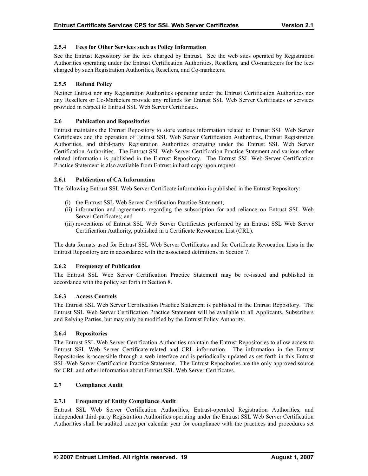# <span id="page-23-0"></span>**2.5.4 Fees for Other Services such as Policy Information**

See the Entrust Repository for the fees charged by Entrust. See the web sites operated by Registration Authorities operating under the Entrust Certification Authorities, Resellers, and Co-marketers for the fees charged by such Registration Authorities, Resellers, and Co-marketers.

# **2.5.5 Refund Policy**

Neither Entrust nor any Registration Authorities operating under the Entrust Certification Authorities nor any Resellers or Co-Marketers provide any refunds for Entrust SSL Web Server Certificates or services provided in respect to Entrust SSL Web Server Certificates.

#### **2.6 Publication and Repositories**

Authorities, and third-party Registration Authorities operating under the Entrust SSL Web Server Certification Authorities. The Entrust SSL Web Server Certification Practice Statement and various other related information is published in the Entrust Repository. The Entrust SSL Web Server Certification Entrust maintains the Entrust Repository to store various information related to Entrust SSL Web Server Certificates and the operation of Entrust SSL Web Server Certification Authorities, Entrust Registration Practice Statement is also available from Entrust in hard copy upon request.

#### **2.6.1 Publication of CA Information**

The following Entrust SSL Web Server Certificate information is published in the Entrust Repository:

- (i) the Entrust SSL Web Server Certification Practice Statement;
- (ii) information and agreements regarding the subscription for and reliance on Entrust SSL Web Server Certificates; and
- (iii) revocations of Entrust SSL Web Server Certificates performed by an Entrust SSL Web Server Certification Authority, published in a Certificate Revocation List (CRL).

The data formats used for Entrust SSL Web Server Certificates and for Certificate Revocation Lists in the Entrust Repository are in accordance with the associated definitions in Section 7.

# **2.6.2 Frequency of Publication**

The Entrust SSL Web Server Certification Practice Statement may be re-issued and published in acco rdance with the policy set forth in Section 8.

#### **2.6. 3 Access Controls**

The Entrust SSL Web Server Certification Practice Statement is published in the Entrust Repository. The Entrust SSL Web Server Certification Practice Statement will be available to all Applicants, Subscribers and Relying Parties, but may only be modified by the Entrust Policy Authority.

#### **2.6.4 Repositories**

The Entrust SSL Web Server Certification Authorities maintain the Entrust Repositories to allow access to Repositories is accessible through a web interface and is periodically updated as set forth in this Entrust SSL Web Server Certification Practice Statement. The Entrust Repositories are the only approved source for CRL and other information about Entrust SSL Web Server Certificates. Entrust SSL Web Server Certificate-related and CRL information. The information in the Entrust

#### **2.7 Compliance Audit**

#### **2.7.1 Frequency of Entity Compliance Audit**

Entrust SSL Web Server Certification Authorities, Entrust-operated Registration Authorities, and independent third-party Registration Authorities operating under the Entrust SSL Web Server Certification Authorities shall be audited once per calendar year for compliance with the practices and procedures set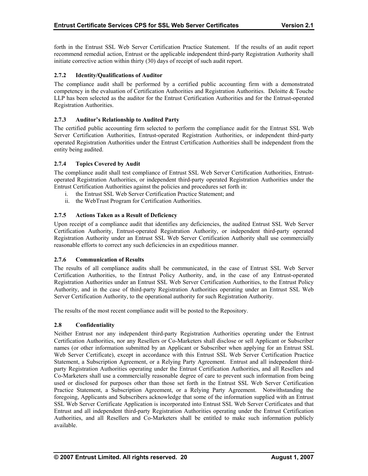<span id="page-24-0"></span>forth in the Entrust SSL Web Server Certification Practice Statement. If the results of an audit report recommend remedial action, Entrust or the applicable independent third-party Registration Authority shall initiate corrective action within thirty (30) days of receipt of such audit report.

# **f Auditor 2.7.2 Identity/Qualifications o**

The compliance audit shall be performed by a certified public accounting firm with a demonstrated competency in the evaluation of Certification Authorities and Registration Authorities. Deloitte & Touche LLP has been selected as the auditor for the Entrust Certification Authorities and for the Entrust-operated Registration Authorities.

# **2.7.3 Auditor's Relationship to Audited Party**

Server Certification Authorities, Entrust-operated Registration Authorities, or independent third-party operated Registration Authorities under the Entrust Certification Authorities shall be independent from the entity being audited. The certified public accounting firm selected to perform the compliance audit for the Entrust SSL Web

# **2.7.4 Topics Covered by Audit**

operated Registration Authorities, or independent third-party operated Registration Authorities under the Entrust Certification Authorities against the policies and procedures set forth in: The compliance audit shall test compliance of Entrust SSL Web Server Certification Authorities, Entrust-

- i. the Entrust SSL Web Server Certification Practice Statement; and
- ii. the WebTrust Program for Certification Authorities.

# **2.7.5 Actions Taken as a Result of Deficiency**

Upon receipt of a compliance audit that identifies any deficiencies, the audited Entrust SSL Web Server Certification Authority, Entrust-operated Registration Authority, or independent third-party operated Registration Authority under an Entrust SSL Web Server Certification Authority shall use commercially reasonable efforts to correct any such deficiencies in an expeditious manner.

#### **2.7.6 Communication of Results**

The results of all compliance audits shall be communicated, in the case of Entrust SSL Web Server Certification Authorities, to the Entrust Policy Authority, and, in the case of any Entrust-operated Registration Authorities under an Entrust SSL Web Server Certification Authorities, to the Entrust Policy Authority, and in the case of third-party Registration Authorities operating under an Entrust SSL Web Server Certification Authority, to the operational authority for such Registration Authority.

The results of the most recent compliance audit will be posted to the Repository.

#### **2.8 Confidentiality**

Neither Entrust nor any independent third-party Registration Authorities operating under the Entrust party Registration Authorities operating under the Entrust Certification Authorities, and all Resellers and Co-Marketers shall use a commercially reasonable degree of care to prevent such information from being used or disclosed for purposes other than those set forth in the Entrust SSL Web Server Certification Practice Statement, a Subscription Agreement, or a Relying Party Agreement. Notwithstanding the foregoing, Applicants and Subscribers acknowledge that some of the information supplied with an Entrust Certification Authorities, nor any Resellers or Co-Marketers shall disclose or sell Applicant or Subscriber names (or other information submitted by an Applicant or Subscriber when applying for an Entrust SSL Web Server Certificate), except in accordance with this Entrust SSL Web Server Certification Practice Statement, a Subscription Agreement, or a Relying Party Agreement. Entrust and all independent third-SSL Web Server Certificate Application is incorporated into Entrust SSL Web Server Certificates and that Entrust and all independent third-party Registration Authorities operating under the Entrust Certification Authorities, and all Resellers and Co-Marketers shall be entitled to make such information publicly available.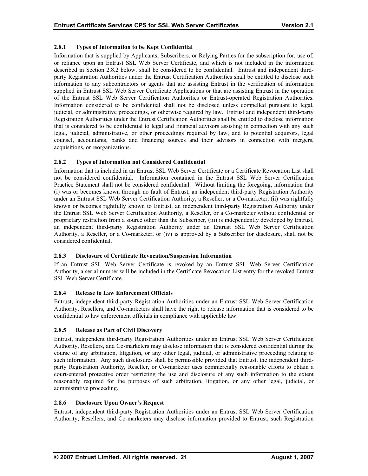# <span id="page-25-0"></span>**2.8.1 Types of Information to be Kept Confidential**

Information that is supplied by Applicants, Subscribers, or Relying Parties for the subscription for, use of, or reliance upon an Entrust SSL Web Server Certificate, and which is not included in the information described in Section 2.8.2 below, shall be considered to be confidential. Entrust and independent thirdparty Registration Authorities under the Entrust Certification Authorities shall be entitled to disclose such information to any subcontractors or agents that are assisting Entrust in the verification of information supplied in Entrust SSL Web Server Certificate Applications or that are assisting Entrust in the operation of the Entrust SSL Web Server Certification Authorities or Entrust-operated Registration Authorities. Information considered to be confidential shall not be disclosed unless compelled pursuant to legal, judicial, or administrative proceedings, or otherwise required by law. Entrust and independent third-party Registration Authorities under the Entrust Certification Authorities shall be entitled to disclose information that is considered to be confidential to legal and financial advisors assisting in connection with any such legal, judicial, administrative, or other proceedings required by law, and to potential acquirors, legal counsel, accountants, banks and financing sources and their advisors in connection with mergers, acquisitions, or reorganizations.

# **2.8.2 Types of Information not Considered Confidential**

an independent third-party Registration Authority under an Entrust SSL Web Server Certification Authority, a Reseller, or a Co-marketer, or (iv) is approved by a Subscriber for disclosure, shall not be considered confidential. Information that is included in an Entrust SSL Web Server Certificate or a Certificate Revocation List shall not be considered confidential. Information contained in the Entrust SSL Web Server Certification Practice Statement shall not be considered confidential. Without limiting the foregoing, information that (i) was or becomes known through no fault of Entrust, an independent third-party Registration Authority under an Entrust SSL Web Server Certification Authority, a Reseller, or a Co-marketer, (ii) was rightfully known or becomes rightfully known to Entrust, an independent third-party Registration Authority under the Entrust SSL Web Server Certification Authority, a Reseller, or a Co-marketer without confidential or proprietary restriction from a source other than the Subscriber, (iii) is independently developed by Entrust,

# **2.8.3 Disclosure of Certificate Revocation/Suspension Information**

If an Entrust SSL Web Server Certificate is revoked by an Entrust SSL Web Server Certification Authority, a serial number will be included in the Certificate Revocation List entry for the revoked Entrust SSL Web Server Certificate.

# **2.8.4 Release to Law Enforcement Officials**

confidential to law enforcement officials in compliance with applicable law. Entrust, independent third-party Registration Authorities under an Entrust SSL Web Server Certification Authority, Resellers, and Co-marketers shall have the right to release information that is considered to be

# **2.8.5 Release as Part of Civil Discovery**

course of any arbitration, litigation, or any other legal, judicial, or administrative proceeding relating to such information. Any such disclosures shall be permissible provided that Entrust, the independent thirdparty Registration Authority, Reseller, or Co-marketer uses commercially reasonable efforts to obtain a Entrust, independent third-party Registration Authorities under an Entrust SSL Web Server Certification Authority, Resellers, and Co-marketers may disclose information that is considered confidential during the court-entered protective order restricting the use and disclosure of any such information to the extent reasonably required for the purposes of such arbitration, litigation, or any other legal, judicial, or administrative proceeding.

# **2.8.6 Disclosure Upon Owner's Request**

Entrust, independent third-party Registration Authorities under an Entrust SSL Web Server Certification Authority, Resellers, and Co-marketers may disclose information provided to Entrust, such Registration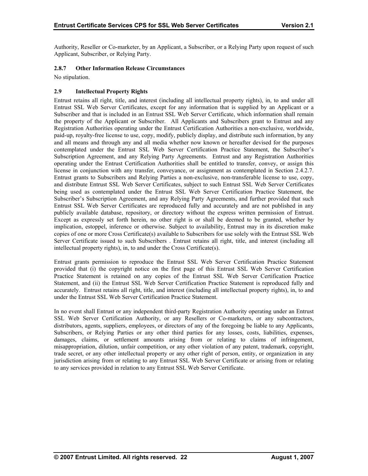<span id="page-26-0"></span>Authority, Reseller or Co-marketer, by an Applicant, a Subscriber, or a Relying Party upon request of such Applicant, Subscriber, or Relying Party.

# **2.8.7 Other Information Release Circumstances**

No stipulation.

# **2.9 Intellectual Property Rights**

Entrust retains all right, title, and interest (including all intellectual property rights), in, to and under all Registration Authorities operating under the Entrust Certification Authorities a non-exclusive, worldwide, paid-up, royalty-free license to use, copy, modify, publicly display, and distribute such information, by any and all means and through any and all media whether now known or hereafter devised for the purposes contemplated under the Entrust SSL Web Server Certification Practice Statement, the Subscriber's Subscription Agreement, and any Relying Party Agreements. Entrust and any Registration Authorities operating under the Entrust Certification Authorities shall be entitled to transfer, convey, or assign this Entrust SSL Web Server Certificates, except for any information that is supplied by an Applicant or a Subscriber and that is included in an Entrust SSL Web Server Certificate, which information shall remain the property of the Applicant or Subscriber. All Applicants and Subscribers grant to Entrust and any license in conjunction with any transfer, conveyance, or assignment as contemplated in Section 2.4.2.7. Entrust grants to Subscribers and Relying Parties a non-exclusive, non-transferable license to use, copy, and distribute Entrust SSL Web Server Certificates, subject to such Entrust SSL Web Server Certificates being used as contemplated under the Entrust SSL Web Server Certification Practice Statement, the Subscriber's Subscription Agreement, and any Relying Party Agreements, and further provided that such Entrust SSL Web Server Certificates are reproduced fully and accurately and are not published in any publicly available database, repository, or directory without the express written permission of Entrust. Except as expressly set forth herein, no other right is or shall be deemed to be granted, whether by implication, estoppel, inference or otherwise. Subject to availability, Entrust may in its discretion make copies of one or more Cross Certificate(s) available to Subscribers for use solely with the Entrust SSL Web Server Certificate issued to such Subscribers . Entrust retains all right, title, and interest (including all intellectual property rights), in, to and under the Cross Certificate(s).

Entrust grants permission to reproduce the Entrust SSL Web Server Certification Practice Statement provided that (i) the copyright notice on the first page of this Entrust SSL Web Server Certification Practice Statement is retained on any copies of the Entrust SSL Web Server Certification Practice Statement, and (ii) the Entrust SSL Web Server Certification Practice Statement is reproduced fully and accurately. Entrust retains all right, title, and interest (including all intellectual property rights), in, to and under the Entrust SSL Web Server Certification Practice Statement.

SSL Web Server Certification Authority, or any Resellers or Co-marketers, or any subcontractors, distributors, agents, suppliers, employees, or directors of any of the foregoing be liable to any Applicants, to any services provided in relation to any Entrust SSL Web Server Certificate. In no event shall Entrust or any independent third-party Registration Authority operating under an Entrust Subscribers, or Relying Parties or any other third parties for any losses, costs, liabilities, expenses, damages, claims, or settlement amounts arising from or relating to claims of infringement, misappropriation, dilution, unfair competition, or any other violation of any patent, trademark, copyright, trade secret, or any other intellectual property or any other right of person, entity, or organization in any jurisdiction arising from or relating to any Entrust SSL Web Server Certificate or arising from or relating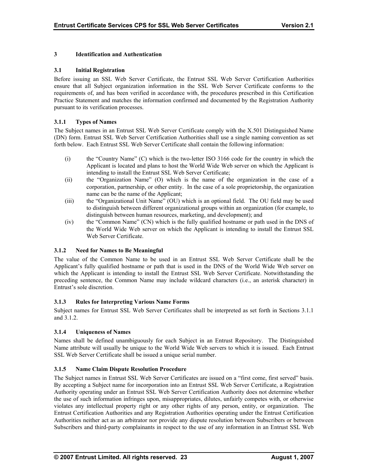# **3 Identification and Authentication**

#### **3.1 Initial Registration**

Before issuing an SSL Web Server Certificate, the Entrust SSL Web Server Certification Authorities ensure that all Subject organization information in the SSL Web Server Certificate conforms to the requirements of, and has been verified in accordance with, the procedures prescribed in this Certification Practice Statement and matches the information confirmed and documented by the Registration Authority pursuant to its verification processes.

# **3.1.1 Types of Names**

The Subject names in an Entrust SSL Web Server Certificate comply with the X.501 Distinguished Name (DN) form. Entrust SSL Web Server Certification Authorities shall use a single naming convention as set forth below. Each Entrust SSL Web Server Certificate shall contain the following information:

- (i) the "Country Name" (C) which is the two-letter ISO 3166 code for the country in which the Applicant is located and plans to host the World Wide Web server on which the Applicant is intending to install the Entrust SSL Web Server Certificate;
- (ii) the "Organization Name" (O) which is the name of the organization in the case of a corporation, partnership, or other entity. In the case of a sole proprietorship, the organization name can be the name of the Applicant;
- (iii) the "Organizational Unit Name" (OU) which is an optional field. The OU field may be used to distinguish between different organizational groups within an organization (for example, to distinguish between human resources, marketing, and development); and
- (iv) the "Common Name" (CN) which is the fully qualified hostname or path used in the DNS of the World Wide Web server on which the Applicant is intending to install the Entrust SSL Web Server Certificate.

#### **3.1.2 Need for Names to Be Meaningful**

The value of the Common Name to be used in an Entrust SSL Web Server Certificate shall be the Applicant's fully qualified hostname or path that is used in the DNS of the World Wide Web server on which the Applicant is intending to install the Entrust SSL Web Server Certificate. Notwithstanding the preceding sentence, the Common Name may include wildcard characters (i.e., an asterisk character) in Entrust's sole discretion.

#### **3.1.3 Rules for Interpreting Various Name Forms**

Subject names for Entrust SSL Web Server Certificates shall be interpreted as set forth in Sections 3.1.1 and 3.1.2.

# **3.1.4 Uniqueness of Names**

Names shall be defined unambiguously for each Subject in an Entrust Repository. The Distinguished Name attribute will usually be unique to the World Wide Web servers to which it is issued. Each Entrust SSL Web Server Certificate shall be issued a unique serial number.

#### **3.1.5 Name Claim Dispute Resolution Procedure**

The Subject names in Entrust SSL Web Server Certificates are issued on a "first come, first served" basis. By accepting a Subject name for incorporation into an Entrust SSL Web Server Certificate, a Registration Authority operating under an Entrust SSL Web Server Certification Authority does not determine whether the use of such information infringes upon, misappropriates, dilutes, unfairly competes with, or otherwise violates any intellectual property right or any other rights of any person, entity, or organization. The Entrust Certification Authorities and any Registration Authorities operating under the Entrust Certification Authorities neither act as an arbitrator nor provide any dispute resolution between Subscribers or between Subscribers and third-party complainants in respect to the use of any information in an Entrust SSL Web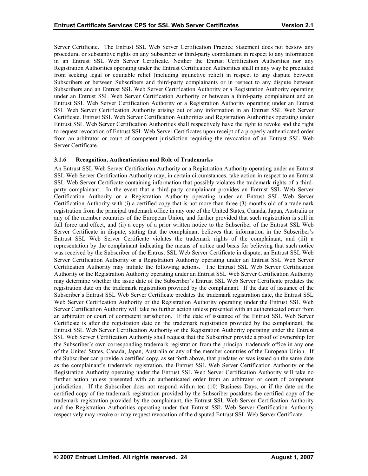<span id="page-28-0"></span>Server Certificate. The Entrust SSL Web Server Certification Practice Statement does not bestow any procedural or substantive rights on any Subscriber or third-party complainant in respect to any information in an Entrust SSL Web Server Certificate. Neither the Entrust Certification Authorities nor any Registration Authorities operating under the Entrust Certification Authorities shall in any way be precluded SSL Web Server Certification Authority arising out of any information in an Entrust SSL Web Server Certificate. Entrust SSL Web Server Certification Authorities and Registration Authorities operating under Entrust SSL Web Server Certification Authorities shall respectively have the right to revoke and the right from seeking legal or equitable relief (including injunctive relief) in respect to any dispute between Subscribers or between Subscribers and third-party complainants or in respect to any dispute between Subscribers and an Entrust SSL Web Server Certification Authority or a Registration Authority operating under an Entrust SSL Web Server Certification Authority or between a third-party complainant and an Entrust SSL Web Server Certification Authority or a Registration Authority operating under an Entrust to request revocation of Entrust SSL Web Server Certificates upon receipt of a properly authenticated order from an arbitrator or court of competent jurisdiction requiring the revocation of an Entrust SSL Web Server Certificate.

#### **3.1.6 6 ognition, Authentication and Role of Trademarks**

An Entrust S SL Web Server Certification Authority or a Registration Authority operating under an Entrust SSL Web Server Certification Authority may, in certain circumstances, take action in respect to an Entrust SSL Web Server Certificate containing information that possibly violates the trademark rights of a thirdparty compla inant. In the event that a third-party complainant provides an Entrust SSL Web Server Certification Authority or a Registration Authority operating under an Entrust SSL Web Server Certification Authority with (i) a certified copy that is not more than three (3) months old of a trademark registration from the principal trademark office in any one of the United States, Canada, Japan, Australia or any of the member countries of the European Union, and further provided that such registration is still in full force and effect, and (ii) a copy of a prior written notice to the Subscriber of the Entrust SSL Web Server Certif icate in dispute, stating that the complainant believes that information in the Subscriber's Entrust SSL Web Server Certificate violates the trademark rights of the complainant, and (iii) a representation by the complainant indicating the means of notice and basis for believing that such notice was received by the Subscriber of the Entrust SSL Web Server Certificate in dispute, an Entrust SSL Web registration date on the trademark registration provided by the complainant. If the date of issuance of the Subscriber's Entrust SSL Web Server Certificate predates the trademark registration date, the Entrust SSL Web Server Certification Authority or the Registration Authority operating under the Entrust SSL Web an arbitrator or court of competent jurisdiction. If the date of issuance of the Entrust SSL Web Server Certificate is after the registration date on the trademark registration provided by the complainant, the Entrust SSL Web Server Certification Authority or the Registration Authority operating under the Entrust the Subscriber can provide a certified copy, as set forth above, that predates or was issued on the same date as the complainant's trademark registration, the Entrust SSL Web Server Certification Authority or the Registration Authority operating under the Entrust SSL Web Server Certification Authority will take no Server Certification Authority or a Registration Authority operating under an Entrust SSL Web Server Certification Authority may initiate the following actions. The Entrust SSL Web Server Certification Authority or the Registration Authority operating under an Entrust SSL Web Server Certification Authority may determine whether the issue date of the Subscriber's Entrust SSL Web Server Certificate predates the Server Certification Authority will take no further action unless presented with an authenticated order from SSL Web Server Certification Authority shall request that the Subscriber provide a proof of ownership for the Subscriber's own corresponding trademark registration from the principal trademark office in any one of the United States, Canada, Japan, Australia or any of the member countries of the European Union. If further action unless presented with an authenticated order from an arbitrator or court of competent jurisdiction. If the Subscriber does not respond within ten (10) Business Days, or if the date on the certified copy of the trademark registration provided by the Subscriber postdates the certified copy of the trademark registration provided by the complainant, the Entrust SSL Web Server Certification Authority and the Registration Authorities operating under that Entrust SSL Web Server Certification Authority respectively may revoke or may request revocation of the disputed Entrust SSL Web Server Certificate.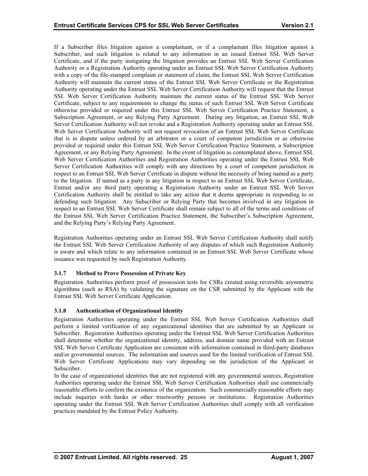<span id="page-29-0"></span>If a Subscriber files litigation against a complainant, or if a complainant files litigation against a Subscriber, and such litigation is related to any information in an issued Entrust SSL Web Server Certificate, and if the party instigating the litigation provides an Entrust SSL Web Server Certification Authority or a Registration Authority operating under an Entrust SSL Web Server Certification Authority with a copy of the file-stamped complaint or statement of claim, the Entrust SSL Web Server Certification Authority will maintain the current status of the Entrust SSL Web Server Certificate or the Registration Authority operating under the Entrust SSL Web Server Certification Authority will request that the Entrust SSL Web Server Certification Authority maintain the current status of the Entrust SSL Web Server Certificate, subject to any requirements to change the status of such Entrust SSL Web Server Certificate otherwise provided or required under this Entrust SSL Web Server Certification Practice Statement, a Subscription Agreement, or any Relying Party Agreement. During any litigation, an Entrust SSL Web Server Certification Authority will not revoke and a Registration Authority operating under an Entrust SSL Web Server Certification Authority will not request revocation of an Entrust SSL Web Server Certificate that is in dispute unless ordered by an arbitrator or a court of competent jurisdiction or as otherwise provided or required under this Entrust SSL Web Server Certification Practice Statement, a Subscription Agreement, or any Relying Party Agreement. In the event of litigation as contemplated above, Entrust SSL Web Server Certification Authorities and Registration Authorities operating under the Entrust SSL Web Server Certification Authorities will comply with any directions by a court of competent jurisdiction in respect to an Entrust SSL Web Server Certificate in dispute without the necessity of being named as a party to the litigation. If named as a party in any litigation in respect to an Entrust SSL Web Server Certificate, Entrust and/or any third party operating a Registration Authority under an Entrust SSL Web Server Certification Authority shall be entitled to take any action that it deems appropriate in responding to or defending such litigation. Any Subscriber or Relying Party that becomes involved in any litigation in respect to an Entrust SSL Web Server Certificate shall remain subject to all of the terms and conditions of the Entrust SSL Web Server Certification Practice Statement, the Subscriber's Subscription Agreement, and the Relying Party's Relying Party Agreement.

Registration Authorities operating under an Entrust SSL Web Server Certification Authority shall notify the Entrust SSL Web Server Certification Authority of any disputes of which such Registration Authority is aware and which relate to any information contained in an Entrust SSL Web Server Certificate whose issuance was requested by such Registration Authority.

# **3.1.7 Method to Prove Possession of Private Key**

Registration Authorities perform proof of possession tests for CSRs created using reversible asymmetric algorithms (such as RSA) by validating the signature on the CSR submitted by the Applicant with the Entrust SSL Web Server Certificate Application.

#### **3.1.8 Authentication of Organizational Identity**

Registration Authorities operating under the Entrust SSL Web Server Certification Authorities shall perform a limited verification of any organizational identities that are submitted by an Applicant or Subscriber. Registration Authorities operating under the Entrust SSL Web Server Certification Authorities shall determine whether the organizational identity, address, and domain name provided with an Entrust SSL Web Server Certificate Application are consistent with information contained in third-party databases and/or governmental sources. The information and sources used for the limited verification of Entrust SSL Web Server Certificate Applications may vary depending on the jurisdiction of the Applicant or Subscriber.

In the case of organizational identities that are not registered with any governmental sources, Registration Authorities operating under the Entrust SSL Web Server Certification Authorities shall use commercially reasonable efforts to confirm the existence of the organization. Such commercially reasonable efforts may include inquiries with banks or other trustworthy persons or institutions. Registration Authorities operating under the Entrust SSL Web Server Certification Authorities shall comply with all verification practices mandated by the Entrust Policy Authority.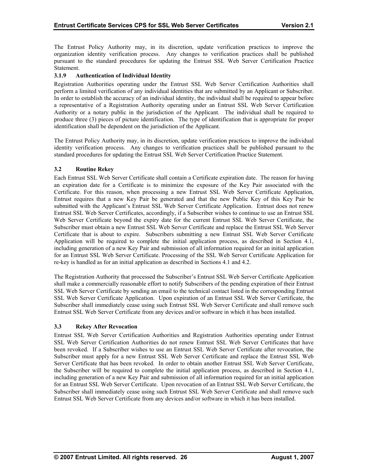<span id="page-30-0"></span>The Entrust Policy Authority may, in its discretion, update verification practices to improve the organization identity verification process. Any changes to verification practices shall be published pursuant to the standard procedures for updating the Entrust SSL Web Server Certification Practice Statement.

# **3.1.9 Authentication of Individual Identity**

Registration Authorities operating under the Entrust SSL Web Server Certification Authorities shall perform a limited verification of any individual identities that are submitted by an Applicant or Subscriber. In order to establish the accuracy of an individual identity, the individual shall be required to appear before a representative of a Registration Authority operating under an Entrust SSL Web Server Certification Authority or a notary public in the jurisdiction of the Applicant. The individual shall be required to produce three (3) pieces of picture identification. The type of identification that is appropriate for proper identification shall be dependent on the jurisdiction of the Applicant.

The Entrust Policy Authority may, in its discretion, update verification practices to improve the individual identity verification process. Any changes to verification practices shall be published pursuant to the standard procedures for updating the Entrust SSL Web Server Certification Practice Statement.

# **3.2 Routine Rekey**

Each Entrust SSL Web Server Certificate shall contain a Certificate expiration date. The reason for having an expiration date for a Certificate is to minimize the exposure of the Key Pair associated with the Certificate. For this reason, when processing a new Entrust SSL Web Server Certificate Application, Entrust requires that a new Key Pair be generated and that the new Public Key of this Key Pair be submitted with the Applicant's Entrust SSL Web Server Certificate Application. Entrust does not renew Entrust SSL Web Server Certificates, accordingly, if a Subscriber wishes to continue to use an Entrust SSL Web Server Certificate beyond the expiry date fo r the current Entrust SSL Web Server Certificate, the Subscriber must obtain a new Entrust SSL Web Server Certificate and replace the Entrust SSL Web Server for an Entrust SSL Web Server Certificate. Processing of the SSL Web Server Certificate Application for re-key is handled as for an initial application as described in Sections 4.1 and 4.2. Certificate that is about to expire. Subscribers submitting a new Entrust SSL Web Server Certificate Application will be required to complete the initial application process, as described in Section 4.1, including generation of a new Key Pair and submission of all information required for an initial application

SSL Web Server Certificate Application. Upon expiration of an Entrust SSL Web Server Certificate, the Subscriber shall immediately cease using such Entrust SSL Web Server Certificate and shall remove such Entrust SSL Web Server Certificate from any devices and/or software in which it has been installed. The Registration Authority that processed the Subscriber's Entrust SSL Web Server Certificate Application shall make a commercially reasonable effort to notify Subscribers of the pending expiration of their Entrust SSL Web Server Certificate by sending an email to the technical contact listed in the corresponding Entrust

# **3.3 Rekey After Revocation**

the Subscriber will be required to complete the initial application process, as described in Section 4.1, Entrust SSL Web Server Certification Authorities and Registration Authorities operating under Entrust SSL Web Server Certification Authorities do not renew Entrust SSL Web Server Certificates that have been revoked. If a Subscriber wishes to use an Entrust SSL Web Server Certificate after revocation, the Subscriber must apply for a new Entrust SSL Web Server Certificate and replace the Entrust SSL Web Server Certificate that has been revoked. In order to obtain another Entrust SSL Web Server Certificate, including generation of a new Key Pair and submission of all information required for an initial application for an Entrust SSL Web Server Certificate. Upon revocation of an Entrust SSL Web Server Certificate, the Subscriber shall immediately cease using such Entrust SSL Web Server Certificate and shall remove such Entrust SSL Web Server Certificate from any devices and/or software in which it has been installed.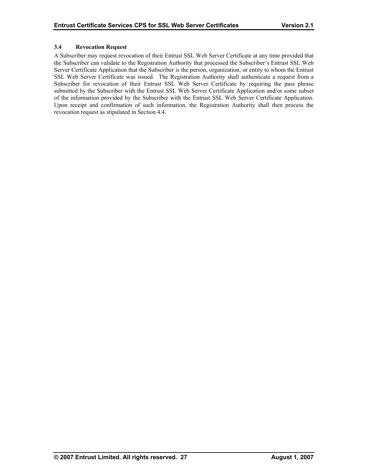# <span id="page-31-0"></span>**3.4 Revocation Request**

A Subscriber may request revocation of their Entrust SSL Web Server Certificate at any time provided that the Subscriber can validate to the Registration Authority that processed the Subscriber's Entrust SSL Web Server Certificate Application that the Subscriber is the person, organization, or entity to whom the Entrust SSL Web Server Certificate was issued. The Registration Authority shall authenticate a request from a Subscriber for revocation of their Entrust SSL Web Server Certificate by requiring the pass phrase submitted by the Subscriber with the Entrust SSL Web Server Certificate Application and/or some subset of the information provided by the Subscriber with the Entrust SSL Web Server Certificate Application. Upon receipt and confirmation of such information, the Registration Authority shall then process the revocation request as stipulated in Section 4.4.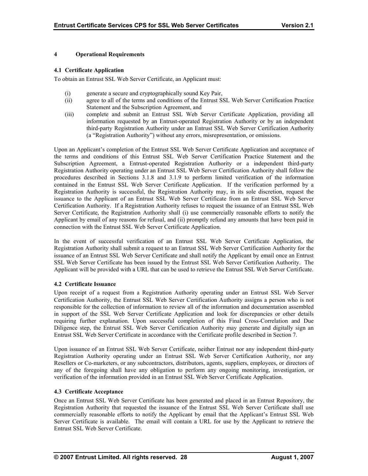# <span id="page-32-0"></span>**4 Operational Requirements**

#### **4.1 Certificate Application**

To obtain an Entrust SSL Web Server Certificate, an Applicant must:

- (i) generate a secure and cryptographically sound Key Pair,
- (ii) agree to all of the terms and conditions of the Entrust SSL Web Server Certification Practice Statement and the Subscription Agreement, and
- (iii) complete and submit an Entrust SSL Web Server Certificate Application, providing all information requested by an Entrust-operated Registration Authority or by an independent third-party Registration Authority under an Entrust SSL Web Server Certification Authority (a "Registration Authority") without any errors, misrepresentation, or omissions.

Upon an Applicant's completion of the Entrust SSL Web Server Certificate Application and acceptance of the terms and conditions of this Entrust SSL Web Server Certification Practice Statement and the Subscription Agreement, a Entrust-operated Registration Authority or a independent third-party Registration Authority operating under an Entrust SSL Web Server Certification Authority shall follow the procedures described in Sections 3.1.8 and 3.1.9 to perform limited verification of the information contained in the Entrust SSL Web Server Certificate Application. If the verification performed by a Registration Authority is successful, the Registration Authority may, in its sole discretion, request the issuance to the Applicant of an Entrust SSL Web Server Certificate from an Entrust SSL Web Server Certification Authority. If a Registration Authority refuses to request the issuance of an Entrust SSL Web Server Certificate, the Registration Authority shall (i) use commercially reasonable efforts to notify the Applicant by email of any reasons for refusal, and (ii) promptly refund any amounts that have been paid in connection with the Entrust SSL Web Server Certificate Application.

In the event of successful verification of an Entrust SSL Web Server Certificate Application, the Registration Authority shall submit a request to an Entrust SSL Web Server Certification Authority for the issuance of an Entrust SSL Web Server Certificate and shall notify the Applicant by email once an Entrust SSL Web Server Certificate has been issued by the Entrust SSL Web Server Certification Authority. The Applicant will be provided with a URL that can be used to retrieve the Entrust SSL Web Server Certificate.

#### **4.2 Certificate Issuance**

Upon receipt of a request from a Registration Authority operating under an Entrust SSL Web Server Certification Authority, the Entrust SSL Web Server Certification Authority assigns a person who is not responsible for the collection of information to review all of the information and documentation assembled in support of the SSL Web Server Certificate Application and look for discrepancies or other details requiring further explanation. Upon successful completion of this Final Cross-Correlation and Due Diligence step, the Entrust SSL Web Server Certification Authority may generate and digitally sign an Entrust SSL Web Server Certificate in accordance with the Certificate profile described in Section 7.

Upon issuance of an Entrust SSL Web Server Certificate, neither Entrust nor any independent third-party Registration Authority operating under an Entrust SSL Web Server Certification Authority, nor any Resellers or Co-marketers, or any subcontractors, distributors, agents, suppliers, employees, or directors of any of the foregoing shall have any obligation to perform any ongoing monitoring, investigation, or verification of the information provided in an Entrust SSL Web Server Certificate Application.

#### **4.3 Certificate Acceptance**

Once an Entrust SSL Web Server Certificate has been generated and placed in an Entrust Repository, the Registration Authority that requested the issuance of the Entrust SSL Web Server Certificate shall use commercially reasonable efforts to notify the Applicant by email that the Applicant's Entrust SSL Web Server Certificate is available. The email will contain a URL for use by the Applicant to retrieve the Entrust SSL Web Server Certificate.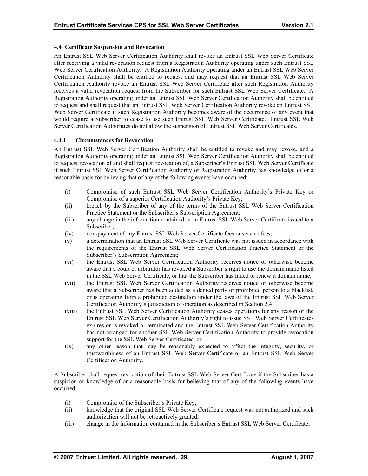# <span id="page-33-0"></span>**4.4 Certificate Suspension and Revocation**

An Entrust SSL Web Server Certification Authority shall revoke an Entrust SSL Web Server Certificate after receiving a valid revocation request from a Registration Authority operating under such Entrust SSL Web Server Certification Authority. A Registration Authority operating under an Entrust SSL Web Server Certification Authority shall be entitled to request and may request that an Entrust SSL Web Server Certification Authority revoke an Entrust SSL Web Server Certificate after such Registration Authority receives a valid revocation request from the Subscriber for such Entrust SSL Web Server Certificate. A Registration Authority operating under an Entrust SSL Web Server Certification Authority shall be entitled to request and shall request that an Entrust SSL Web Server Certification Authority revoke an Entrust SSL Web Server Certificate if such Registration Authority becomes aware of the occurrence of any event that would requir e a Subscriber to cease to use such Entrust SSL Web Server Certificate. Entrust SSL Web Server Certif ication Authorities do not allow the suspension of Entrust SSL Web Server Certificates.

#### **.4.1 Circumstances for Revocation 4**

An Entrust SSL Web Server Certification Authority shall be entitled to revoke and may revoke, and a Registration Authority operating under an Entrust SSL Web Server Certification Authority shall be entitled to request revocation of and shall request revocation of, a Subscriber's Entrust SSL Web Server Certificate if such Entrust SSL Web Server Certification Authority or Registration Authority has knowledge of or a reasonable basis for believing that of any of the following events have occurred:

- (i) Compromise of such Entrust SSL Web Server Certification Authority's Private Key or Compromise of a superior Certification Authority's Private Key;
- (ii) breach by the Subscriber of any of the terms of the Entrust SSL Web Server Certification Practice Statement or the Subscriber's Subscription Agreement;
- (iii) any change in the information contained in an Entrust SSL Web Server Certificate issued to a Subscriber;
- (iv) non-payment of any Entrust SSL Web Server Certificate fees or service fees;
- (v) a determination that an Entrust SSL Web Server Certificate was not issued in accordance with the requirements of the Entrust SSL Web Server Certification Practice Statement or the Subscriber's Subscription Agreement;
- in the SSL Web Server Certificate, or that the Subscriber has failed to renew it domain name; (vi) the Entrust SSL Web Server Certification Authority receives notice or otherwise become aware that a court or arbitrator has revoked a Subscriber's right to use the domain name listed
- (vii) the Entrust SSL Web Server Certification Authority receives notice or otherwise become aware that a Subscriber has been added as a denied party or prohibited person to a blacklist, or is operating from a prohibited destination under the laws of the Entrust SSL Web Server Certification Authority's jurisdiction of operation as described in Section 2.4;
- has not arranged for another SSL Web Server Certification Authority to provide revocation support for the SSL Web Server Certificates; or (viii) the Entrust SSL Web Server Certification Authority ceases operations for any reason or the Entrust SSL Web Server Certification Authority's right to issue SSL Web Server Certificates expires or is revoked or terminated and the Entrust SSL Web Server Certification Authority
- (ix) any other reason that may be reasonably expected to affect the integrity, security, or trustworthiness of an Entrust SSL Web Server Certificate or an Entrust SSL Web Server Certification Authority.

A Subscriber shall request revocation of their Entrust SSL Web Server Certificate if the Subscriber has a suspicion or knowledge of or a reasonable basis for believing that of any of the following events have occurred:

- (i) Compromise of the Subscriber's Private Key;
- (ii) knowledge that the original SSL Web Server Certificate request was not authorized and such authorization will not be retroactively granted;
- (iii) change in the information contained in the Subscriber's Entrust SSL Web Server Certificate;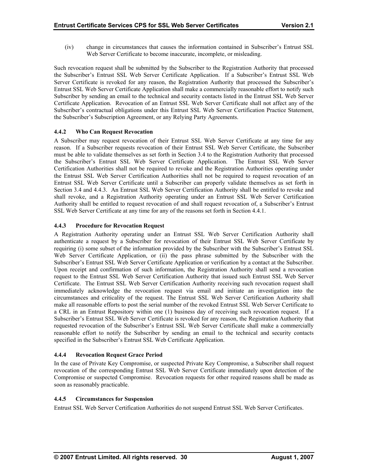<span id="page-34-0"></span>(iv) change in circumstances that causes the information contained in Subscriber's Entrust SSL Web Server Certificate to become inaccurate, incomplete, or misleading.

Such revocation request shall be submitted by the Subscriber to the Registration Authority that processed the Subscriber's Entrust SSL Web Server Certificate Application. If a Subscriber's Entrust SSL Web Server Certificate is revoked for any reason, the Registration Authority that processed the Subscriber's Entrust SSL Web Server Certificate Application shall make a commercially reasonable effort to notify such Subscriber by sending an email to the technical and security contacts listed in the Entrust SSL Web Server Certificate Application. Revocation of an Entrust SSL Web Server Certificate shall not affect any of the Subscriber's contractual obligations under this Entrust SSL Web Server Certification Practice Statement, the Subscriber's Subscription Agreement, or any Relying Party Agreements.

# **4.4.2 Who Can Request Revocation**

A Subscriber may request revocation of their Entrust SSL Web Server Certificate at any time for any the Entrust SSL Web Server Certification Authorities shall not be required to request revocation of an Entrust SSL Web Server Certificate until a Subscriber can properly validate themselves as set forth in Section 3.4 and 4.4.3. An Entrust SSL Web Server Certification Authority shall be entitled to revoke and shall revoke, and a Registration Authority operating under an Entrust SSL Web Server Certification Authority shall be entitled to request revocation of and shall request revocation of, a Subscriber's Entrust SSL Web Server Certificate at any time for any of the reasons set forth in Section 4.4.1. reason. If a Subscriber requests revocation of their Entrust SSL Web Server Certificate, the Subscriber must be able to validate themselves as set forth in Section 3.4 to the Registration Authority that processed the Subscriber's Entrust SSL Web Server Certificate Application. The Entrust SSL Web Server Certification Authorities shall not be required to revoke and the Registration Authorities operating under

# **4.4.3 Procedure for Revocation Request**

A Registration Authority operating under an Entrust SSL Web Server Certification Authority shall authenticate a request by a Subscriber for revocation of their Entrust SSL Web Server Certificate by requiring (i) some subset of the information provided by the Subscriber with the Subscriber's Entrust SSL Web Server Certificate Application, or (ii) the pass phrase submitted by the Subscriber with the Sub scriber's Entrust SSL Web Server Certificate Application or verification by a contact at the Subscriber. Upon receip t and confirmation of such information, the Registration Authority shall send a revocation request to th e Entrust SSL Web Server Certification Authority that issued such Entrust SSL Web Server Certificate. The Entrust SSL Web Server Certification Authority receiving such revocation request shall immediately acknowledge the revocation request via email and initiate an investigation into the circumstance s and criticality of the request. The Entrust SSL Web Server Certification Authority shall make all reasonable efforts to post the serial number of the revoked Entrust SSL Web Server Certificate to a CRL in an Entrust Repository within one (1) business day of receiving such revocation request. If a Subscriber's Entrust SSL Web Server Certificate is revoked for any reason, the Registration Authority that requested rev ocation of the Subscriber's Entrust SSL Web Server Certificate shall make a commercially reasonable e ffort to notify the Subscriber by sending an email to the technical and security contacts specified in the Subscriber's Entrust SSL Web Certificate Application.

#### **4.4.4 Rev Revocation Request Grace Period**

In the case of Private Key Compromise, or suspected Private Key Compromise, a Subscriber shall request revocation of the corresponding Entrust SSL Web Server Certificate immediately upon detection of the Compromise or suspected Compromise. Revocation requests for other required reasons shall be made as soon as reasonably practicable.

#### **.4. Circ 4 5 umstances for Suspension**

Entr ust SSL Web Server Certification Authorities do not suspend Entrust SSL Web Server Certificates.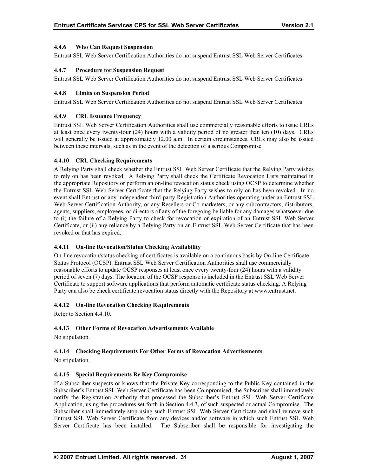#### <span id="page-35-0"></span>**4.4. h 6 W o Can Request Suspension**

Entrust SSL Web Server Certification Authorities do not suspend Entrust SSL Web Server Certificates.

# **4.4.7 Procedure for Suspension Request**

Entrust SSL Web Server Certification Authorities do not suspend Entrust SSL Web Server Certificates.

# **4.4.8 Limits on Suspension Period**

Entrust SSL Web Server Certification Authorities do not suspend Entrust SSL Web Server Certificates.

# **4.4.9 CRL Issuance Frequency**

Entrust SSL Web Server Certification Authorities shall use commercially reasonable efforts to issue CRLs at least once every twenty-four  $(24)$  hours with a validity period of no greater than ten  $(10)$  days. CRLs will generally be issued at approximately 12.00 a.m. In certain circumstances, CRLs may also be issued between these intervals, such as in the event of the detection of a serious Compromise.

# **4.4.10 CRL Checking Requirements**

agents, suppliers, employees, or directors of any of the foregoing be liable for any damages whatsoever due to (i) the failure of a Relying Party to check for revocation or expiration of an Entrust SSL Web Server Certificate, or (ii) any reliance by a Relying Party on an Entrust SSL Web Server Certificate that has been A Relying Party shall check whether the Entrust SSL Web Server Certificate that the Relying Party wishes to rely on has been revoked. A Relying Party shall check the Certificate Revocation Lists maintained in the appropriate Repository or perform an on-line revocation status check using OCSP to determine whether the Entrust SSL Web Server Certificate that the Relying Party wishes to rely on has been revoked. In no event shall Entrust or any independent third-party Registration Authorities operating under an Entrust SSL Web Server Certification Authority, or any Resellers or Co-marketers, or any subcontractors, distributors, revoked or that has expired.

#### **4.4.11 On-line Revocation/Status Checking Availability**

On-line revocation/status checking of certificates is available on a continuous basis by On-line Certificate Status Protocol (OCSP). Entrust SSL Web Server Certification Authorities shall use commercially reasonable efforts to update OCSP responses at least once every twenty-four (24) hours with a validity period of seven (7) days. The location of the OCSP response is included in the Entrust SSL Web Server Certificate to support software applications that perform automatic certificate status checking. A Relying Party can also be check certificate revocation status directly with the Repository at www.entrust.net.

#### **4.4.12 On-line Revocation Checking Requirements**

Refer to Section 4.4.10.

# **4.4.13 Other Forms of Revocation Advertisements Available**

No stipulation.

# **Forms of Revocation Advertisements 4.4.14 Checking Requirements For Other**

No stipulation.

# **4.4.15 Special Requirements Re Key Compromise**

If a Subscriber suspects or knows that the Private Key corresponding to the Public Key contained in the Subscriber's Entrust SSL Web Server Certificate has been Compromised, the Subscriber shall immediately notify the Registration Authority that processed the Subscriber's Entrust SSL Web Server Certificate Subscriber shall immediately stop using such Entrust SSL Web Server Certificate and shall remove such Entrust SSL Web Server Certificate from any devices and/or software in which such Entrust SSL Web Server Certificate has been installed. The Subscriber shall be responsible for investigating the Application, using the procedures set forth in Section 4.4.3, of such suspected or actual Compromise. The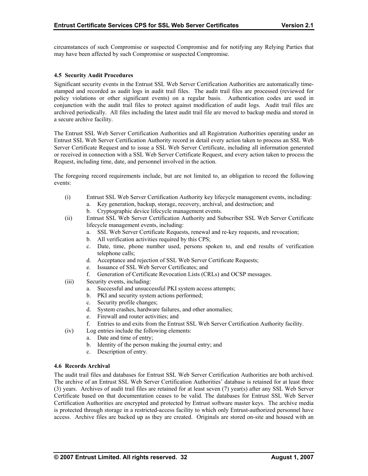<span id="page-36-0"></span>circumstances of such Compromise or suspected Compromise and for notifying any Relying Parties that may have been affected by such Compromise or suspected Compromise.

#### **4.5 Security Audit Procedures**

Significant security events in the Entrust SSL Web Server Certification Authorities are automatically timestamped and recorded as audit logs in audit trail files. The audit trail files are processed (reviewed for policy violations or other significant events) on a regular basis. Authentication codes are used in conjunction with the audit trail files to protect against modification of audit logs. Audit trail files are archived periodically. All files including the latest audit trail file are moved to backup media and stored in a secure archive facility.

Server Certificate Request and to issue a SSL Web Server Certificate, including all information generated or received in connection with a SSL Web Server Certificate Request, and every action taken to process the Request, including time, date, and personnel involved in the action. The Entrust SSL Web Server Certification Authorities and all Registration Authorities operating under an Entrust SSL Web Server Certification Authority record in detail every action taken to process an SSL Web

The foregoing record requirements include, but are not limited to, an obligation to record the following events:

- (i) Entrust SSL Web Server Certification Authority key lifecycle management events, including: a. Key generation, backup, storage, recovery, archival, and destruction; and
	- b. Cryptographic device lifecycle management events.
- (ii) Entrust SSL Web Server Certification Authority and Subscriber SSL Web Server Certificate lifecycle management events, including:
	- a. SSL Web Server Certificate Requests, renewal and re-key requests, and revocation;
	- b. All verification activities required by this CPS;
	- c. Date, time, phone number used, persons spoken to, and end results of verification telephone calls;
	- d. Acceptance and rejection of SSL Web Server Certificate Requests;
	- e. Issuance of SSL Web Server Certificates; and
	- f. Generation of Certificate Revocation Lists (CRLs) and OCSP messages.
- (iii) Security events, including:
	- a. Successful and unsuccessful PKI system access attempts;
	- b. PKI and security system actions performed;
	- c. Security profile changes;
	- d. System crashes, hardware failures, and other anomalies;
	- e. Firewall and router activities; and
	- f. Entries to and exits from the Entrust SSL Web Server Certification Authority facility.
- $(iv)$ Log entries include the following elements:
	- Date and time of entry; a.
	- b. Identity of the person making the journal entry; and
	- c. Description of entry.

#### **4.6 Records Archival**

The audit trail files and databases for Entrust SSL Web Server Certification Authorities are both archived. The archive of an Entrust SSL Web Server Certification Authorities' database is retained for at least three (3) years. Archives of audit trail files are retained for at least seven (7) year(s) after any SSL Web Server Certificate based on that documentation ceases to be valid. The databases for Entrust SSL Web Server Certification Authorities are encrypted and protected by Entrust software master keys. The archive media is protected through storage in a restricted-access facility to which only Entrust-authorized personnel have access. Archive files are backed up as they are created. Originals are stored on-site and housed with an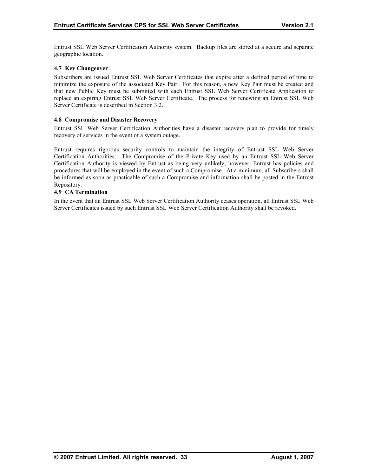<span id="page-37-0"></span>Entrust SSL Web Server Certification Authority system. Backup files are stored at a secure and separate geographic location.

#### **4.7 Key Changeover**

Subscribers are issued Entrust SSL Web Server Certificates that expire after a defined period of time to minimize the exposure of the associated Key Pair. For this reason, a new Key Pair must be created and that new Public Key must be submitted with each Entrust SSL Web Server Certificate Application to replace an expiring Entrust SSL Web Server Certificate. The process for renewing an Entrust SSL Web Server Certificate is described in Section 3.2.

#### **saster Recovery 4.8 Compromise and Di**

Entrust SSL Web Server Certification Authorities have a disaster recovery plan to provide for timely recovery of services in the event of a system outage.

Certification Authority is viewed by Entrust as being very unlikely, however, Entrust has policies and procedures that will be employed in the event of such a Compromise. At a minimum, all Subscribers shall . Repository Entrust requires rigorous security controls to maintain the integrity of Entrust SSL Web Server Certification Authorities. The Compromise of the Private Key used by an Entrust SSL Web Server be informed as soon as practicable of such a Compromise and information shall be posted in the Entrust

#### **.9 CA Termination 4**

In the event that an Entrust SSL Web Server Certification Authority ceases operation, all Entrust SSL Web Server Certificates issued by such Entrust SSL Web Server Certification Authority shall be revoked.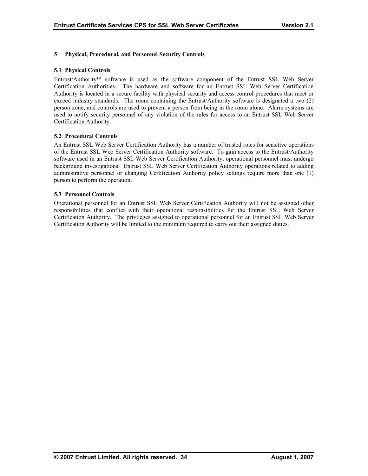# <span id="page-38-0"></span>**5 Physical, Procedural, and Personnel Security Controls**

#### **5.1 Physical Controls**

person zone, and controls are used to prevent a person from being in the room alone. Alarm systems are used to notify security personnel of any violation of the rules for access to an Entrust SSL Web Server Entrust/Authority<sup>™</sup> software is used as the software component of the Entrust SSL Web Server Certification Authorities. The hardware and software for an Entrust SSL Web Server Certification Authority is located in a secure facility with physical security and access control procedures that meet or exceed industry standards. The room containing the Entrust/Authority software is designated a two (2) Certification Authority.

#### **5.2 Procedural Controls**

An Entrust SSL Web Server Certification Authority has a number of trusted roles for sensitive operations of the Entrust SSL Web Server Certification Authority software. To gain access to the Entrust/Authority software used in an Entrust SSL Web Server Certification Authority, operational personnel must undergo background investigations. Entrust SSL Web Server Certification Authority operations related to adding administrative personnel or changing Certification Authority policy settings require more than one (1) person to perform the operation.

#### **5.3 Personnel Controls**

Operational personnel for an Entrust SSL Web Server Certification Authority will not be assigned other Certification Authority. The privileges assigned to operational personnel for an Entrust SSL Web Server Certification Authority will be limited to the minimum required to carry out their assigned duties. responsibilities that conflict with their operational responsibilities for the Entrust SSL Web Server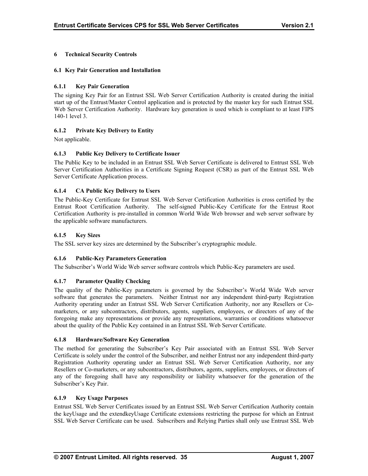# <span id="page-39-0"></span>**6 Technical Security Controls**

# **6.1 Key Pair Generation and Installation**

# **6.1.1 Key Pair Generation**

The signing Key Pair for an Entrust SSL Web Server Certification Authority is created during the initial start up of the Entrust/Master Control application and is protected by the master key for such Entrust SSL Web Server Certification Authority. Hardware key generation is used which is compliant to at least FIPS 140-1 level 3.

# **6.1.2 Private Key Delivery to Entity**

Not applicable.

# **6.1.3 Public Key Delivery to Certificate Issuer**

The Public Key to be included in an Entrust SSL Web Server Certificate is delivered to Entrust SSL Web Server Certification Authorities in a Certificate Signing Request (CSR) as part of the Entrust SSL Web Server Certificate Application process.

# **elivery to Users 6.1.4 CA Public Key D**

The Public-Key Certificate for Entrust SSL Web Server Certification Authorities is cross certified by the Entrust Root Certification Authority. The self-signed Public-Key Certificate for the Entrust Root Certification Authority is pre-installed in common World Wide Web browser and web server software by the applicable software manufacturers.

#### **6.1.5 Key Sizes**

The SSL server key sizes are determined by the Subscriber's cryptographic module.

#### **6.1.6 Public-Key Parameters Generation**

The Subscriber's World Wide Web server software controls which Public-Key parameters are used.

#### **6.1.7 Parameter Quality Checking**

The quality of the Public-Key parameters is governed by the Subscriber's World Wide Web server software that generates the parameters. Neither Entrust nor any independent third-party Registration Authority operating under an Entrust SSL Web Server Certification Authority, nor any Resellers or Comarketers, or any subcontractors, distributors, agents, suppliers, employees, or directors of any of the foregoing make any representations or provide any representations, warranties or conditions whatsoever about the quality of the Public Key contained in an Entrust SSL Web Server Certificate.

#### **6.1.8 Hardware/Software Key Generation**

The method for generating the Subscriber's Key Pair associated with an Entrust SSL Web Server Certificate is solely under the control of the Subscriber, and neither Entrust nor any independent third-party Registration Authority operating under an Entrust SSL Web Server Certification Authority, nor any Resellers or Co-marketers, or any subcontractors, distributors, agents, suppliers, employees, or directors of any of the foregoing shall have any responsibility or liability whatsoever for the generation of the Subscriber's Key Pair.

#### **6.1.9 Key Usage Purposes**

Entrust SSL Web Server Certificates issued by an Entrust SSL Web Server Certification Authority contain the keyUsage and the extendkeyUsage Certificate extensions restricting the purpose for which an Entrust SSL Web Server Certificate can be used. Subscribers and Relying Parties shall only use Entrust SSL Web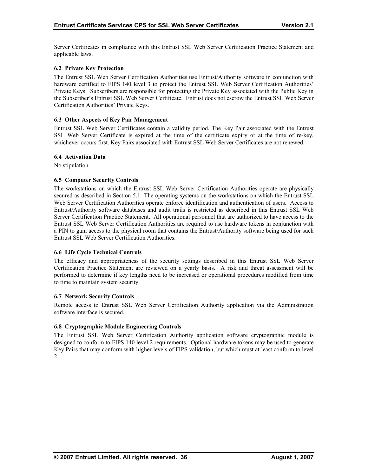<span id="page-40-0"></span>Server Certificates in compliance with this Entrust SSL Web Server Certification Practice Statement and applicable laws.

# **6.2 Private Key Protection**

The Entrust SSL Web Server Certification Authorities use Entrust/Authority software in conjunction with hardware certified to FIPS 140 level 3 to protect the Entrust SSL Web Server Certification Authorities' Private Keys. Subscribers are responsible for protecting the Private Key associated with the Public Key in the Subscriber's Entrust SSL Web Server Certificate. Entrust does not escrow the Entrust SSL Web Server Certification Authorities' Private Keys.

#### **6.3** Other Aspects of Key Pair Management

Entrust SSL Web Server Certificates contain a validity period. The Key Pair associated with the Entrust SSL Web Server Certificate is expired at the time of the certificate expiry or at the time of re-key, whichever occurs first. Key Pairs associated with Entrust SSL Web Server Certificates are not renewed.

#### **6.4 Activation Data**

No stipulation.

#### **6.5 Computer Security Controls**

The workstations on which the Entrust SSL Web Server Certification Authorities operate are physically Entrust SSL Web Server Certification Authorities are required to use hardware tokens in conjunction with a PIN to gain access to the physical room that contains the Entrust/Authority software being used for such Entrust SSL Web Server Certification Authorities. secured as described in Section 5.1 The operating systems on the workstations on which the Entrust SSL Web Server Certification Authorities operate enforce identification and authentication of users. Access to Entrust/Authority software databases and audit trails is restricted as described in this Entrust SSL Web Server Certification Practice Statement. All operational personnel that are authorized to have access to the

#### **6.6 Life Cycle Technical Controls**

The efficacy and appropriateness of the security settings described in this Entrust SSL Web Server Certification Practice Statement are reviewed on a yearly basis. A risk and threat assessment will be performed to determine if key lengths need to be increased or operational procedures modified from time to time to maintain system security.

#### **6.7 Network Security Controls**

Remote access to Entrust SSL Web Server Certification Authority application via the Administration software interface is secured.

#### **6.8 Cryptographic Module Engineering Controls**

The Entrust SSL Web Server Certification Authority application software cryptographic module is designed to conform to FIPS 140 level 2 requirements. Optional hardware tokens may be used to generate Key Pairs that may conform with higher levels of FIPS validation, but which must at least conform to level 2.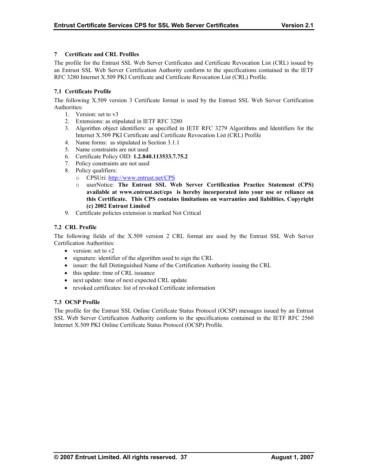# <span id="page-41-0"></span>**7 Certificate and CRL Profiles**

The profile for the Entrust SSL Web Server Certificates and Certificate Revocation List (CRL) issued by an Entrust SSL Web Server Certification Authority conform to the specifications contained in the IETF RFC 3280 Internet X.509 PKI Certificate and Certificate Revocation List (CRL) Profile.

# **7.1 Certificate Profile**

The following X.509 version 3 Certificate format is used by the Entrust SSL Web Server Certification Authorities:

- 1. Version: set to v3
- 2. Extensions: as stipulated in IETF RFC 3280
- 3. Algorithm object identifiers: as specified in IETF RFC 3279 Algorithms and Identifiers for the Internet X.509 PKI Certificate and Certificate Revocation List (CRL) Profile
- 4. Name forms: as stipulated in Section 3.1.1
- 5. Name constraints are not used
- 6. Certificate Policy OID: **1.2.840.113533.7.75.2**
- 7. Policy constraints are not used
- 8. Policy qualifiers:
	- o CPSUri: http://www.entrust.net/CPS
	- o userNotice: **The Entrust SSL Web Server Certification Practice Statement (CPS) available at www.entrust.net/cps is hereby incorporated into your use or reliance on this Certificate. This CPS contains limitations on warranties and liabilities. Copyright (c) 2002 Entrust Limited**
- 9. Certificate policies extension is marked Not Critical

# **7.2 CRL Profile**

The following fields of the X.509 version 2 CRL format are used by the Entrust SSL Web Server Certification Authorities:

- version: set to v2
- signature: identifier of the algorithm used to sign the CRL
- issuer: the full Distinguished Name of the Certification Authority issuing the CRL
- this update: time of CRL issuance
- next update: time of next expected CRL update
- revoked certificates: list of revoked Certificate information

# **7.3 OCSP Profile**

The profile for the Entrust SSL Online Certificate Status Protocol (OCSP) messages issued by an Entrust SSL Web Server Certification Authority conform to the specifications contained in the IETF RFC 2560 Internet X.509 PKI Online Certificate Status Protocol (OCSP) Profile.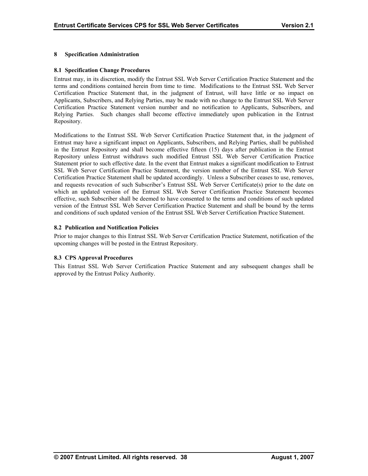# <span id="page-42-0"></span>**8 Specification Administration**

#### **8.1 Specification Change Procedures**

Entrust may, in its discretion, modify the Entrust SSL Web Server Certification Practice Statement and the terms and conditions contained herein from time to time. Modifications to the Entrust SSL Web Server Certification Practice Statement that, in the judgment of Entrust, will have little or no impact on Certification Practice Statement version number and no notification to Applicants, Subscribers, and Relying Parties. Such changes shall become effective immediately upon publication in the Entrust Repository. Applicants, Subscribers, and Relying Parties, may be made with no change to the Entrust SSL Web Server

Modifications to the Entrust SSL Web Server Certification Practice Statement that, in the judgment of Entrust may have a significant impact on Applicants, Subscribers, and Relying Parties, shall be published in the Entrust Repository and shall become effective fifteen (15) days after publication in the Entrust Repository unless Entrust withdraws such modified Entrust SSL Web Server Certification Practice Statement prior to such effective date. In the event that Entrust makes a significant modification to Entrust SSL Web Server Certification Practice Statement, the version number of the Entrust SSL Web Server Certification Practice [Statement shall be updated a](http://www.entrust.net/CPS)ccordingly. Unless a Subscriber ceases to use, removes, and requests revocation of such Subscriber's Entrust SSL Web Server Certificate(s) prior to the date on which an up dated version of the Entrust SSL Web Server Certification Practice Statement becomes effective, suc h Subscriber shall be deemed to have consented to the terms and conditions of such updated version of the Entrust SSL Web Server Certification Practice Statement and shall be bound by the terms and conditions of such updated version of the Entrust SSL Web Server Certification Practice Statement.

# 8.2 Publication and Notification Policies

upcoming changes will be posted in the Entrust Repository. Prior to major changes to this Entrust SSL Web Server Certification Practice Statement, notification of the

#### **8.3 CPS Approval Procedures**

This Entrust SSL Web Server Certification Practice Statement and any subsequent changes shall be approved by the Entrust Policy Authority.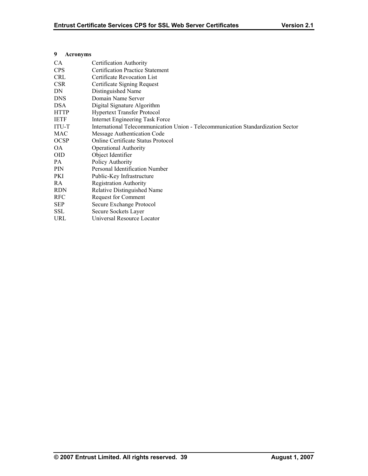| CA           | Certification Authority                                                          |
|--------------|----------------------------------------------------------------------------------|
| <b>CPS</b>   | <b>Certification Practice Statement</b>                                          |
| <b>CRL</b>   | Certificate Revocation List                                                      |
| <b>CSR</b>   | Certificate Signing Request                                                      |
| DN           | Distinguished Name                                                               |
| <b>DNS</b>   | Domain Name Server                                                               |
| <b>DSA</b>   | Digital Signature Algorithm                                                      |
| <b>HTTP</b>  | <b>Hypertext Transfer Protocol</b>                                               |
| IETF         | Internet Engineering Task Force                                                  |
| <b>ITU-T</b> | International Telecommunication Union - Telecommunication Standardization Sector |
| MAC          | Message Authentication Code                                                      |
| <b>OCSP</b>  | Online Certificate Status Protocol                                               |
| OA           | <b>Operational Authority</b>                                                     |
| <b>OID</b>   | Object Identifier                                                                |
| PA.          | Policy Authority                                                                 |
| <b>PIN</b>   | Personal Identification Number                                                   |
| PKI          | Public-Key Infrastructure                                                        |
| RA.          | <b>Registration Authority</b>                                                    |
| <b>RDN</b>   | Relative Distinguished Name                                                      |
| <b>RFC</b>   | Request for Comment                                                              |
| <b>SEP</b>   | Secure Exchange Protocol                                                         |
| <b>SSL</b>   | Secure Sockets Layer                                                             |
| URL          | Universal Resource Locator                                                       |

#### <span id="page-43-0"></span>**9 Acronyms**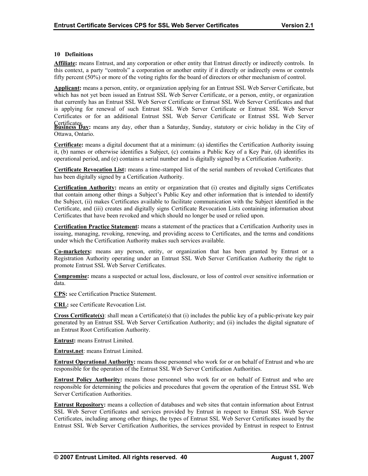#### <span id="page-44-0"></span>**10 Definitions**

**Affiliate:** means Entrust, and any corporation or other entity that Entrust directly or indirectly controls. In this context, a party "controls" a corporation or another entity if it directly or indirectly owns or controls fifty percent  $(50%)$  or more of the voting rights for the board of directors or other mechanism of control.

Applicant: means a person, entity, or organization applying for an Entrust SSL Web Server Certificate, but which has not yet been issued an Entrust SSL Web Server Certificate, or a person, entity, or organization that currently has an Entrust SSL Web Server Certificate or Entrust SSL Web Server Certificates and that is applying for renewal of such Entrust SSL Web Server Certificate or Entrust SSL Web Server Certificates or for an additional Entrust SSL Web Server Certificate or Entrust SSL Web Server

Certificates.<br>**Business Day:** means any day, other than a Saturday, Sunday, statutory or civic holiday in the City of Ottawa, Ontario.

**Certificate:** means a digital document that at a minimum: (a) identifies the Certification Authority issuing it, (b) names or otherwise identifies a Subject, (c) contains a Public Key of a Key Pair, (d) identifies its operational period, and (e) contains a serial number and is digitally signed by a Certification Authority.

**ficate Revocation List:** means a time-stamped list of the serial numbers of revoked Certificates that has been digitally signed by a Certification Authority.

**Certification Authority:** means an entity or organization that (i) creates and digitally signs Certificates that contain among other things a Subject's Public Key and other information that is intended to identify the Subject, (ii) makes Certificates available to facilitate communication with the Subject identified in the Certificate, and (iii) creates and digitally signs Certificate Revocation Lists containing information about Certificates that have been revoked and which should no longer be used or relied upon.

**Certification Practice Statement:** means a statement of the practices that a Certification Authority uses in issuing, managing, revoking, renewing, and providing access to Certificates, and the terms and conditions under which the Certification Authority makes such services available.

**Co-marketers:** means any person, entity, or organization that has been granted by Entrust or a Registration Authority operating under an Entrust SSL Web Server Certification Authority the right to promote Entrust SSL Web Server Certificates.

**Compromise:** means a suspected or actual loss, disclosure, or loss of control over sensitive information or data.

**CPS:** see Certification Practice Statement.

**CRL:** see Certificate Revocation List.

**Cross Certificate(s)**: shall mean a Certificate(s) that (i) includes the public key of a public-private key pair generated by an Entrust SSL Web Server Certification Authority; and (ii) includes the digital signature of an Entrust Root Certification Authority.

**Entrust:** means Entrust Limited.

**Entrust.net**: means Entrust Limited.

**Entrust Operational Authority:** means those personnel who work for or on behalf of Entrust and who are responsible for the operation of the Entrust SSL Web Server Certification Authorities.

**Entrust Policy Authority:** means those personnel who work for or on behalf of Entrust and who are responsible for determining the policies and procedures that govern the operation of the Entrust SSL Web Server Certification Authorities.

**Entrust Repository:** means a collection of databases and web sites that contain information about Entrust SSL Web Server Certificates and services provided by Entrust in respect to Entrust SSL Web Server Certificates, including among other things, the types of Entrust SSL Web Server Certificates issued by the Entrust SSL Web Server Certification Authorities, the services provided by Entrust in respect to Entrust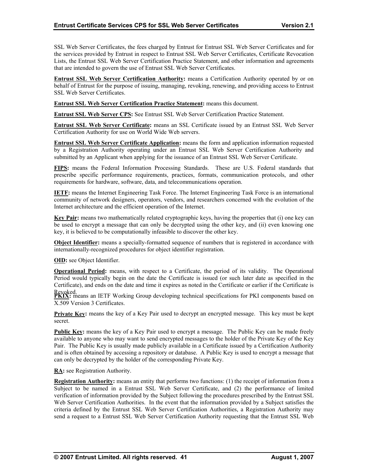<span id="page-45-0"></span>SSL Web Server Certificates, the fees charged by Entrust for Entrust SSL Web Server Certificates and for the services provided by Entrust in respect to Entrust SSL Web Server Certificates, Certificate Revocation Lists, the Entrust SSL Web Server Certification Practice Statement, and other information and agreements that are intended to govern the use of Entrust SSL Web Server Certificates.

**Entrust SSL Web Server Certification Authority:** means a Certification Authority operated by or on behalf of Entrust for the purpose of issuing, managing, revoking, renewing, and providing access to Entrust SSL Web Server Certificates.

**Entrust SSL Web Server Certification Practice Statement:** means this document.

**Entrust SSL Web Server CPS:** See Entrust SSL Web Server Certification Practice Statement.

**Entrust SSL Web Server Certificate:** means an SSL Certificate issued by an Entrust SSL Web Server Certification Authority for use on World Wide Web servers.

**Entrust SSL Web Server Certificate Application:** means the form and application information requested by a Registration Authority operating under an Entrust SSL Web Server Certification Authority and submitted by an Applicant when applying for the issuance of an Entrust SSL Web Server Certificate.

**FIPS:** means the Federal Information Processing Standards. These are U.S. Federal standards that prescribe specific performance requirements, practices, formats, communication protocols, and other requirements for hardware, software, data, and telecommunications operation.

**IETF:** means the Internet Engineering Task Force. The Internet Engineering Task Force is an international community of network designers, operators, vendors, and researchers concerned with the evolution of the Internet architecture and the efficient operation of the Internet.

**Key Pair:** means two mathematically related cryptographic keys, having the properties that (i) one key can be used to encrypt a message that can only be decrypted using the other key, and (ii) even knowing one key, it is believed to be computationally infeasible to discover the other key.

**Object Identifier:** means a specially-formatted sequence of numbers that is registered in accordance with internationally-recognized procedures for object identifier registration.

**OID:** see Object Identifier.

**Operational Period:** means, with respect to a Certificate, the period of its validity. The Operational Period would typically begin on the date the Certificate is issued (or such later date as specified in the Certificate), and ends on the date and time it expires as noted in the Certificate or earlier if the Certificate is

Revoked.<br>**PKIX:** means an IETF Working Group developing technical specifications for PKI components based on X.509 Version 3 Certificates.

**Private Key:** means the key of a Key Pair used to decrypt an encrypted message. This key must be kept secret.

**Public Key:** means the key of a Key Pair used to encrypt a message. The Public Key can be made freely available to anyone who may want to send encrypted messages to the holder of the Private Key of the Key Pair. The Public Key is usually made publicly available in a Certificate issued by a Certification Authority and is often obtained by accessing a repository or database. A Public Key is used to encrypt a message that can only be decrypted by the holder of the corresponding Private Key.

**RA:** see Registration Authority.

**Registration Authority:** means an entity that performs two functions: (1) the receipt of information from a Web Server Certification Authorities. In the event that the information provided by a Subject satisfies the Subject to be named in a Entrust SSL Web Server Certificate, and (2) the performance of limited verification of information provided by the Subject following the procedures prescribed by the Entrust SSL criteria defined by the Entrust SSL Web Server Certification Authorities, a Registration Authority may send a request to a Entrust SSL Web Server Certification Authority requesting that the Entrust SSL Web